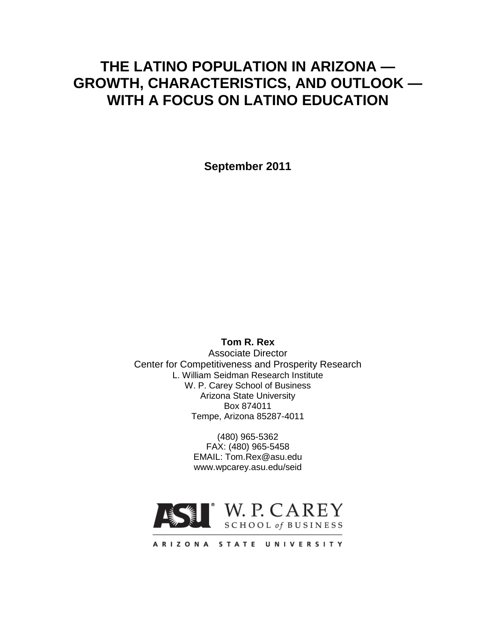# **THE LATINO POPULATION IN ARIZONA — GROWTH, CHARACTERISTICS, AND OUTLOOK — WITH A FOCUS ON LATINO EDUCATION**

**September 2011**

**Tom R. Rex**

Associate Director Center for Competitiveness and Prosperity Research L. William Seidman Research Institute W. P. Carey School of Business Arizona State University Box 874011 Tempe, Arizona 85287-4011

> (480) 965-5362 FAX: (480) 965-5458 EMAIL: Tom.Rex@asu.edu www.wpcarey.asu.edu/seid

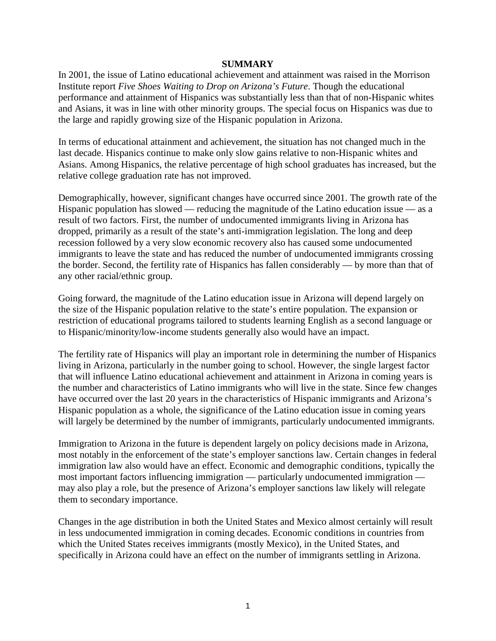#### **SUMMARY**

In 2001, the issue of Latino educational achievement and attainment was raised in the Morrison Institute report *Five Shoes Waiting to Drop on Arizona's Future*. Though the educational performance and attainment of Hispanics was substantially less than that of non-Hispanic whites and Asians, it was in line with other minority groups. The special focus on Hispanics was due to the large and rapidly growing size of the Hispanic population in Arizona.

In terms of educational attainment and achievement, the situation has not changed much in the last decade. Hispanics continue to make only slow gains relative to non-Hispanic whites and Asians. Among Hispanics, the relative percentage of high school graduates has increased, but the relative college graduation rate has not improved.

Demographically, however, significant changes have occurred since 2001. The growth rate of the Hispanic population has slowed — reducing the magnitude of the Latino education issue — as a result of two factors. First, the number of undocumented immigrants living in Arizona has dropped, primarily as a result of the state's anti-immigration legislation. The long and deep recession followed by a very slow economic recovery also has caused some undocumented immigrants to leave the state and has reduced the number of undocumented immigrants crossing the border. Second, the fertility rate of Hispanics has fallen considerably — by more than that of any other racial/ethnic group.

Going forward, the magnitude of the Latino education issue in Arizona will depend largely on the size of the Hispanic population relative to the state's entire population. The expansion or restriction of educational programs tailored to students learning English as a second language or to Hispanic/minority/low-income students generally also would have an impact.

The fertility rate of Hispanics will play an important role in determining the number of Hispanics living in Arizona, particularly in the number going to school. However, the single largest factor that will influence Latino educational achievement and attainment in Arizona in coming years is the number and characteristics of Latino immigrants who will live in the state. Since few changes have occurred over the last 20 years in the characteristics of Hispanic immigrants and Arizona's Hispanic population as a whole, the significance of the Latino education issue in coming years will largely be determined by the number of immigrants, particularly undocumented immigrants.

Immigration to Arizona in the future is dependent largely on policy decisions made in Arizona, most notably in the enforcement of the state's employer sanctions law. Certain changes in federal immigration law also would have an effect. Economic and demographic conditions, typically the most important factors influencing immigration — particularly undocumented immigration may also play a role, but the presence of Arizona's employer sanctions law likely will relegate them to secondary importance.

Changes in the age distribution in both the United States and Mexico almost certainly will result in less undocumented immigration in coming decades. Economic conditions in countries from which the United States receives immigrants (mostly Mexico), in the United States, and specifically in Arizona could have an effect on the number of immigrants settling in Arizona.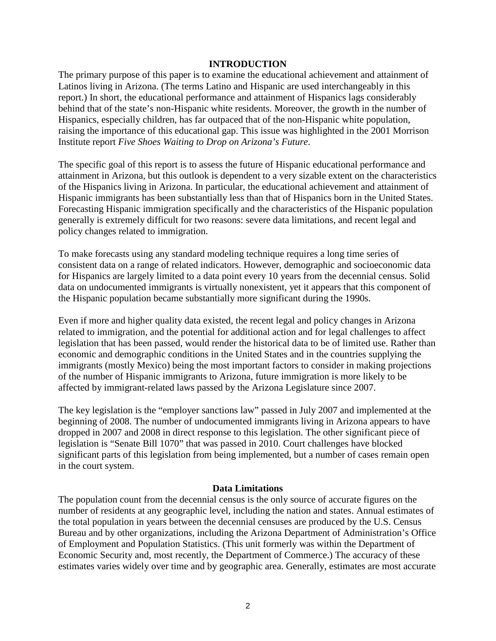#### **INTRODUCTION**

The primary purpose of this paper is to examine the educational achievement and attainment of Latinos living in Arizona. (The terms Latino and Hispanic are used interchangeably in this report.) In short, the educational performance and attainment of Hispanics lags considerably behind that of the state's non-Hispanic white residents. Moreover, the growth in the number of Hispanics, especially children, has far outpaced that of the non-Hispanic white population, raising the importance of this educational gap. This issue was highlighted in the 2001 Morrison Institute report *Five Shoes Waiting to Drop on Arizona's Future*.

The specific goal of this report is to assess the future of Hispanic educational performance and attainment in Arizona, but this outlook is dependent to a very sizable extent on the characteristics of the Hispanics living in Arizona. In particular, the educational achievement and attainment of Hispanic immigrants has been substantially less than that of Hispanics born in the United States. Forecasting Hispanic immigration specifically and the characteristics of the Hispanic population generally is extremely difficult for two reasons: severe data limitations, and recent legal and policy changes related to immigration.

To make forecasts using any standard modeling technique requires a long time series of consistent data on a range of related indicators. However, demographic and socioeconomic data for Hispanics are largely limited to a data point every 10 years from the decennial census. Solid data on undocumented immigrants is virtually nonexistent, yet it appears that this component of the Hispanic population became substantially more significant during the 1990s.

Even if more and higher quality data existed, the recent legal and policy changes in Arizona related to immigration, and the potential for additional action and for legal challenges to affect legislation that has been passed, would render the historical data to be of limited use. Rather than economic and demographic conditions in the United States and in the countries supplying the immigrants (mostly Mexico) being the most important factors to consider in making projections of the number of Hispanic immigrants to Arizona, future immigration is more likely to be affected by immigrant-related laws passed by the Arizona Legislature since 2007.

The key legislation is the "employer sanctions law" passed in July 2007 and implemented at the beginning of 2008. The number of undocumented immigrants living in Arizona appears to have dropped in 2007 and 2008 in direct response to this legislation. The other significant piece of legislation is "Senate Bill 1070" that was passed in 2010. Court challenges have blocked significant parts of this legislation from being implemented, but a number of cases remain open in the court system.

#### **Data Limitations**

The population count from the decennial census is the only source of accurate figures on the number of residents at any geographic level, including the nation and states. Annual estimates of the total population in years between the decennial censuses are produced by the U.S. Census Bureau and by other organizations, including the Arizona Department of Administration's Office of Employment and Population Statistics. (This unit formerly was within the Department of Economic Security and, most recently, the Department of Commerce.) The accuracy of these estimates varies widely over time and by geographic area. Generally, estimates are most accurate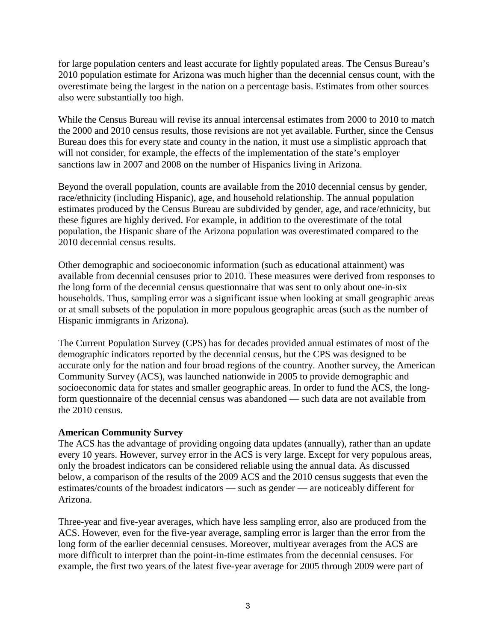for large population centers and least accurate for lightly populated areas. The Census Bureau's 2010 population estimate for Arizona was much higher than the decennial census count, with the overestimate being the largest in the nation on a percentage basis. Estimates from other sources also were substantially too high.

While the Census Bureau will revise its annual intercensal estimates from 2000 to 2010 to match the 2000 and 2010 census results, those revisions are not yet available. Further, since the Census Bureau does this for every state and county in the nation, it must use a simplistic approach that will not consider, for example, the effects of the implementation of the state's employer sanctions law in 2007 and 2008 on the number of Hispanics living in Arizona.

Beyond the overall population, counts are available from the 2010 decennial census by gender, race/ethnicity (including Hispanic), age, and household relationship. The annual population estimates produced by the Census Bureau are subdivided by gender, age, and race/ethnicity, but these figures are highly derived. For example, in addition to the overestimate of the total population, the Hispanic share of the Arizona population was overestimated compared to the 2010 decennial census results.

Other demographic and socioeconomic information (such as educational attainment) was available from decennial censuses prior to 2010. These measures were derived from responses to the long form of the decennial census questionnaire that was sent to only about one-in-six households. Thus, sampling error was a significant issue when looking at small geographic areas or at small subsets of the population in more populous geographic areas (such as the number of Hispanic immigrants in Arizona).

The Current Population Survey (CPS) has for decades provided annual estimates of most of the demographic indicators reported by the decennial census, but the CPS was designed to be accurate only for the nation and four broad regions of the country. Another survey, the American Community Survey (ACS), was launched nationwide in 2005 to provide demographic and socioeconomic data for states and smaller geographic areas. In order to fund the ACS, the longform questionnaire of the decennial census was abandoned — such data are not available from the 2010 census.

### **American Community Survey**

The ACS has the advantage of providing ongoing data updates (annually), rather than an update every 10 years. However, survey error in the ACS is very large. Except for very populous areas, only the broadest indicators can be considered reliable using the annual data. As discussed below, a comparison of the results of the 2009 ACS and the 2010 census suggests that even the estimates/counts of the broadest indicators — such as gender — are noticeably different for Arizona.

Three-year and five-year averages, which have less sampling error, also are produced from the ACS. However, even for the five-year average, sampling error is larger than the error from the long form of the earlier decennial censuses. Moreover, multiyear averages from the ACS are more difficult to interpret than the point-in-time estimates from the decennial censuses. For example, the first two years of the latest five-year average for 2005 through 2009 were part of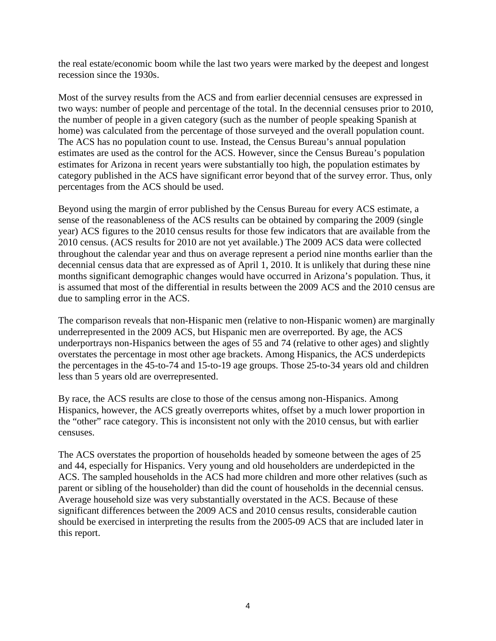the real estate/economic boom while the last two years were marked by the deepest and longest recession since the 1930s.

Most of the survey results from the ACS and from earlier decennial censuses are expressed in two ways: number of people and percentage of the total. In the decennial censuses prior to 2010, the number of people in a given category (such as the number of people speaking Spanish at home) was calculated from the percentage of those surveyed and the overall population count. The ACS has no population count to use. Instead, the Census Bureau's annual population estimates are used as the control for the ACS. However, since the Census Bureau's population estimates for Arizona in recent years were substantially too high, the population estimates by category published in the ACS have significant error beyond that of the survey error. Thus, only percentages from the ACS should be used.

Beyond using the margin of error published by the Census Bureau for every ACS estimate, a sense of the reasonableness of the ACS results can be obtained by comparing the 2009 (single year) ACS figures to the 2010 census results for those few indicators that are available from the 2010 census. (ACS results for 2010 are not yet available.) The 2009 ACS data were collected throughout the calendar year and thus on average represent a period nine months earlier than the decennial census data that are expressed as of April 1, 2010. It is unlikely that during these nine months significant demographic changes would have occurred in Arizona's population. Thus, it is assumed that most of the differential in results between the 2009 ACS and the 2010 census are due to sampling error in the ACS.

The comparison reveals that non-Hispanic men (relative to non-Hispanic women) are marginally underrepresented in the 2009 ACS, but Hispanic men are overreported. By age, the ACS underportrays non-Hispanics between the ages of 55 and 74 (relative to other ages) and slightly overstates the percentage in most other age brackets. Among Hispanics, the ACS underdepicts the percentages in the 45-to-74 and 15-to-19 age groups. Those 25-to-34 years old and children less than 5 years old are overrepresented.

By race, the ACS results are close to those of the census among non-Hispanics. Among Hispanics, however, the ACS greatly overreports whites, offset by a much lower proportion in the "other" race category. This is inconsistent not only with the 2010 census, but with earlier censuses.

The ACS overstates the proportion of households headed by someone between the ages of 25 and 44, especially for Hispanics. Very young and old householders are underdepicted in the ACS. The sampled households in the ACS had more children and more other relatives (such as parent or sibling of the householder) than did the count of households in the decennial census. Average household size was very substantially overstated in the ACS. Because of these significant differences between the 2009 ACS and 2010 census results, considerable caution should be exercised in interpreting the results from the 2005-09 ACS that are included later in this report.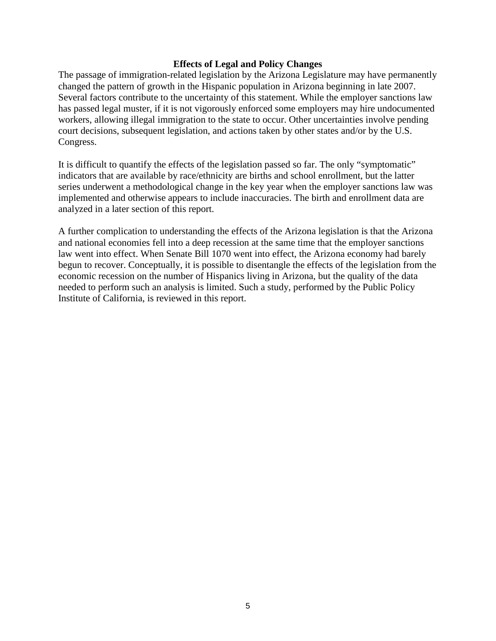#### **Effects of Legal and Policy Changes**

The passage of immigration-related legislation by the Arizona Legislature may have permanently changed the pattern of growth in the Hispanic population in Arizona beginning in late 2007. Several factors contribute to the uncertainty of this statement. While the employer sanctions law has passed legal muster, if it is not vigorously enforced some employers may hire undocumented workers, allowing illegal immigration to the state to occur. Other uncertainties involve pending court decisions, subsequent legislation, and actions taken by other states and/or by the U.S. Congress.

It is difficult to quantify the effects of the legislation passed so far. The only "symptomatic" indicators that are available by race/ethnicity are births and school enrollment, but the latter series underwent a methodological change in the key year when the employer sanctions law was implemented and otherwise appears to include inaccuracies. The birth and enrollment data are analyzed in a later section of this report.

A further complication to understanding the effects of the Arizona legislation is that the Arizona and national economies fell into a deep recession at the same time that the employer sanctions law went into effect. When Senate Bill 1070 went into effect, the Arizona economy had barely begun to recover. Conceptually, it is possible to disentangle the effects of the legislation from the economic recession on the number of Hispanics living in Arizona, but the quality of the data needed to perform such an analysis is limited. Such a study, performed by the Public Policy Institute of California, is reviewed in this report.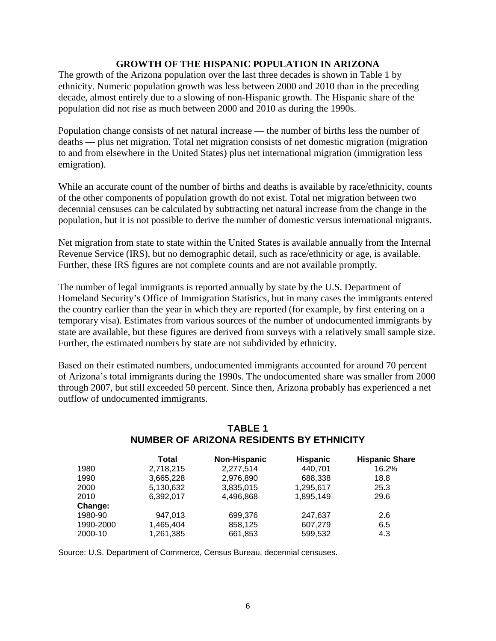### **GROWTH OF THE HISPANIC POPULATION IN ARIZONA**

The growth of the Arizona population over the last three decades is shown in Table 1 by ethnicity. Numeric population growth was less between 2000 and 2010 than in the preceding decade, almost entirely due to a slowing of non-Hispanic growth. The Hispanic share of the population did not rise as much between 2000 and 2010 as during the 1990s.

Population change consists of net natural increase — the number of births less the number of deaths — plus net migration. Total net migration consists of net domestic migration (migration to and from elsewhere in the United States) plus net international migration (immigration less emigration).

While an accurate count of the number of births and deaths is available by race/ethnicity, counts of the other components of population growth do not exist. Total net migration between two decennial censuses can be calculated by subtracting net natural increase from the change in the population, but it is not possible to derive the number of domestic versus international migrants.

Net migration from state to state within the United States is available annually from the Internal Revenue Service (IRS), but no demographic detail, such as race/ethnicity or age, is available. Further, these IRS figures are not complete counts and are not available promptly.

The number of legal immigrants is reported annually by state by the U.S. Department of Homeland Security's Office of Immigration Statistics, but in many cases the immigrants entered the country earlier than the year in which they are reported (for example, by first entering on a temporary visa). Estimates from various sources of the number of undocumented immigrants by state are available, but these figures are derived from surveys with a relatively small sample size. Further, the estimated numbers by state are not subdivided by ethnicity.

Based on their estimated numbers, undocumented immigrants accounted for around 70 percent of Arizona's total immigrants during the 1990s. The undocumented share was smaller from 2000 through 2007, but still exceeded 50 percent. Since then, Arizona probably has experienced a net outflow of undocumented immigrants.

|           | <b>Total</b> | <b>Non-Hispanic</b> | <b>Hispanic</b> | <b>Hispanic Share</b> |
|-----------|--------------|---------------------|-----------------|-----------------------|
| 1980      | 2,718,215    | 2,277,514           | 440,701         | 16.2%                 |
| 1990      | 3,665,228    | 2,976,890           | 688,338         | 18.8                  |
| 2000      | 5,130,632    | 3,835,015           | 1,295,617       | 25.3                  |
| 2010      | 6.392.017    | 4.496.868           | 1.895.149       | 29.6                  |
| Change:   |              |                     |                 |                       |
| 1980-90   | 947.013      | 699,376             | 247,637         | 2.6                   |
| 1990-2000 | 1,465,404    | 858,125             | 607.279         | 6.5                   |
| 2000-10   | 1,261,385    | 661,853             | 599.532         | 4.3                   |

# **TABLE 1 NUMBER OF ARIZONA RESIDENTS BY ETHNICITY**

Source: U.S. Department of Commerce, Census Bureau, decennial censuses.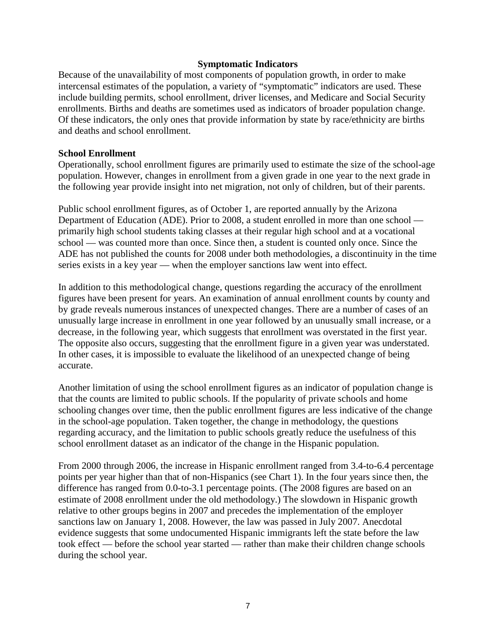#### **Symptomatic Indicators**

Because of the unavailability of most components of population growth, in order to make intercensal estimates of the population, a variety of "symptomatic" indicators are used. These include building permits, school enrollment, driver licenses, and Medicare and Social Security enrollments. Births and deaths are sometimes used as indicators of broader population change. Of these indicators, the only ones that provide information by state by race/ethnicity are births and deaths and school enrollment.

#### **School Enrollment**

Operationally, school enrollment figures are primarily used to estimate the size of the school-age population. However, changes in enrollment from a given grade in one year to the next grade in the following year provide insight into net migration, not only of children, but of their parents.

Public school enrollment figures, as of October 1, are reported annually by the Arizona Department of Education (ADE). Prior to 2008, a student enrolled in more than one school primarily high school students taking classes at their regular high school and at a vocational school — was counted more than once. Since then, a student is counted only once. Since the ADE has not published the counts for 2008 under both methodologies, a discontinuity in the time series exists in a key year — when the employer sanctions law went into effect.

In addition to this methodological change, questions regarding the accuracy of the enrollment figures have been present for years. An examination of annual enrollment counts by county and by grade reveals numerous instances of unexpected changes. There are a number of cases of an unusually large increase in enrollment in one year followed by an unusually small increase, or a decrease, in the following year, which suggests that enrollment was overstated in the first year. The opposite also occurs, suggesting that the enrollment figure in a given year was understated. In other cases, it is impossible to evaluate the likelihood of an unexpected change of being accurate.

Another limitation of using the school enrollment figures as an indicator of population change is that the counts are limited to public schools. If the popularity of private schools and home schooling changes over time, then the public enrollment figures are less indicative of the change in the school-age population. Taken together, the change in methodology, the questions regarding accuracy, and the limitation to public schools greatly reduce the usefulness of this school enrollment dataset as an indicator of the change in the Hispanic population.

From 2000 through 2006, the increase in Hispanic enrollment ranged from 3.4-to-6.4 percentage points per year higher than that of non-Hispanics (see Chart 1). In the four years since then, the difference has ranged from 0.0-to-3.1 percentage points. (The 2008 figures are based on an estimate of 2008 enrollment under the old methodology.) The slowdown in Hispanic growth relative to other groups begins in 2007 and precedes the implementation of the employer sanctions law on January 1, 2008. However, the law was passed in July 2007. Anecdotal evidence suggests that some undocumented Hispanic immigrants left the state before the law took effect — before the school year started — rather than make their children change schools during the school year.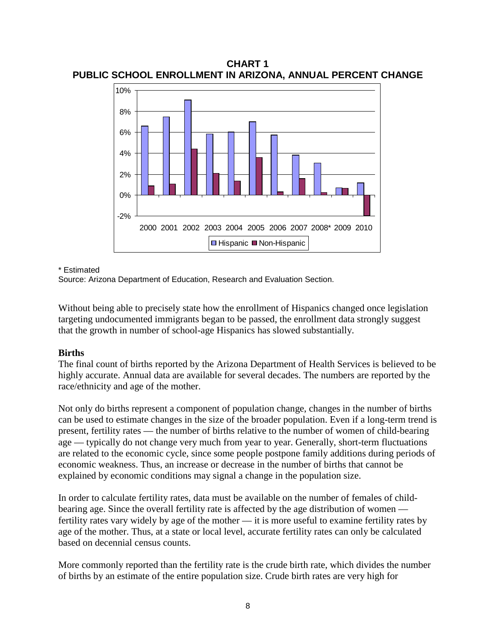**CHART 1 PUBLIC SCHOOL ENROLLMENT IN ARIZONA, ANNUAL PERCENT CHANGE**



\* Estimated

Source: Arizona Department of Education, Research and Evaluation Section.

Without being able to precisely state how the enrollment of Hispanics changed once legislation targeting undocumented immigrants began to be passed, the enrollment data strongly suggest that the growth in number of school-age Hispanics has slowed substantially.

### **Births**

The final count of births reported by the Arizona Department of Health Services is believed to be highly accurate. Annual data are available for several decades. The numbers are reported by the race/ethnicity and age of the mother.

Not only do births represent a component of population change, changes in the number of births can be used to estimate changes in the size of the broader population. Even if a long-term trend is present, fertility rates — the number of births relative to the number of women of child-bearing age — typically do not change very much from year to year. Generally, short-term fluctuations are related to the economic cycle, since some people postpone family additions during periods of economic weakness. Thus, an increase or decrease in the number of births that cannot be explained by economic conditions may signal a change in the population size.

In order to calculate fertility rates, data must be available on the number of females of childbearing age. Since the overall fertility rate is affected by the age distribution of women fertility rates vary widely by age of the mother — it is more useful to examine fertility rates by age of the mother. Thus, at a state or local level, accurate fertility rates can only be calculated based on decennial census counts.

More commonly reported than the fertility rate is the crude birth rate, which divides the number of births by an estimate of the entire population size. Crude birth rates are very high for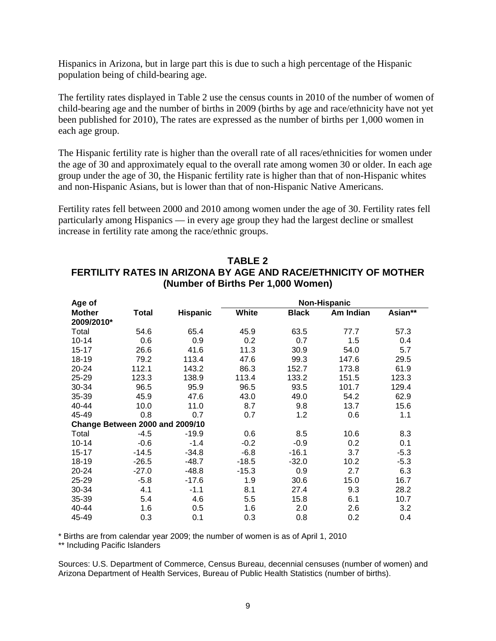Hispanics in Arizona, but in large part this is due to such a high percentage of the Hispanic population being of child-bearing age.

The fertility rates displayed in Table 2 use the census counts in 2010 of the number of women of child-bearing age and the number of births in 2009 (births by age and race/ethnicity have not yet been published for 2010), The rates are expressed as the number of births per 1,000 women in each age group.

The Hispanic fertility rate is higher than the overall rate of all races/ethnicities for women under the age of 30 and approximately equal to the overall rate among women 30 or older. In each age group under the age of 30, the Hispanic fertility rate is higher than that of non-Hispanic whites and non-Hispanic Asians, but is lower than that of non-Hispanic Native Americans.

Fertility rates fell between 2000 and 2010 among women under the age of 30. Fertility rates fell particularly among Hispanics — in every age group they had the largest decline or smallest increase in fertility rate among the race/ethnic groups.

| Age of                          |         |                 |         |              | <b>Non-Hispanic</b> |         |
|---------------------------------|---------|-----------------|---------|--------------|---------------------|---------|
| <b>Mother</b>                   | Total   | <b>Hispanic</b> | White   | <b>Black</b> | Am Indian           | Asian** |
| 2009/2010*                      |         |                 |         |              |                     |         |
| Total                           | 54.6    | 65.4            | 45.9    | 63.5         | 77.7                | 57.3    |
| $10 - 14$                       | 0.6     | 0.9             | 0.2     | 0.7          | 1.5                 | 0.4     |
| $15 - 17$                       | 26.6    | 41.6            | 11.3    | 30.9         | 54.0                | 5.7     |
| 18-19                           | 79.2    | 113.4           | 47.6    | 99.3         | 147.6               | 29.5    |
| $20 - 24$                       | 112.1   | 143.2           | 86.3    | 152.7        | 173.8               | 61.9    |
| 25-29                           | 123.3   | 138.9           | 113.4   | 133.2        | 151.5               | 123.3   |
| 30-34                           | 96.5    | 95.9            | 96.5    | 93.5         | 101.7               | 129.4   |
| 35-39                           | 45.9    | 47.6            | 43.0    | 49.0         | 54.2                | 62.9    |
| 40-44                           | 10.0    | 11.0            | 8.7     | 9.8          | 13.7                | 15.6    |
| 45-49                           | 0.8     | 0.7             | 0.7     | 1.2          | 0.6                 | 1.1     |
| Change Between 2000 and 2009/10 |         |                 |         |              |                     |         |
| Total                           | $-4.5$  | $-19.9$         | 0.6     | 8.5          | 10.6                | 8.3     |
| $10 - 14$                       | $-0.6$  | $-1.4$          | $-0.2$  | $-0.9$       | 0.2                 | 0.1     |
| $15 - 17$                       | $-14.5$ | $-34.8$         | $-6.8$  | $-16.1$      | 3.7                 | $-5.3$  |
| 18-19                           | $-26.5$ | $-48.7$         | $-18.5$ | $-32.0$      | 10.2                | $-5.3$  |
| 20-24                           | $-27.0$ | $-48.8$         | $-15.3$ | 0.9          | 2.7                 | 6.3     |
| 25-29                           | $-5.8$  | $-17.6$         | 1.9     | 30.6         | 15.0                | 16.7    |
| 30-34                           | 4.1     | $-1.1$          | 8.1     | 27.4         | 9.3                 | 28.2    |
| 35-39                           | 5.4     | 4.6             | 5.5     | 15.8         | 6.1                 | 10.7    |
| 40-44                           | 1.6     | 0.5             | 1.6     | 2.0          | 2.6                 | 3.2     |
| 45-49                           | 0.3     | 0.1             | 0.3     | 0.8          | 0.2                 | 0.4     |

### **TABLE 2 FERTILITY RATES IN ARIZONA BY AGE AND RACE/ETHNICITY OF MOTHER (Number of Births Per 1,000 Women)**

\* Births are from calendar year 2009; the number of women is as of April 1, 2010

\*\* Including Pacific Islanders

Sources: U.S. Department of Commerce, Census Bureau, decennial censuses (number of women) and Arizona Department of Health Services, Bureau of Public Health Statistics (number of births).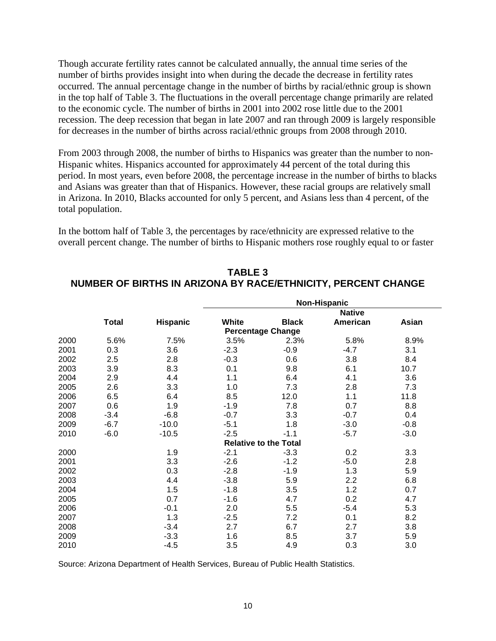Though accurate fertility rates cannot be calculated annually, the annual time series of the number of births provides insight into when during the decade the decrease in fertility rates occurred. The annual percentage change in the number of births by racial/ethnic group is shown in the top half of Table 3. The fluctuations in the overall percentage change primarily are related to the economic cycle. The number of births in 2001 into 2002 rose little due to the 2001 recession. The deep recession that began in late 2007 and ran through 2009 is largely responsible for decreases in the number of births across racial/ethnic groups from 2008 through 2010.

From 2003 through 2008, the number of births to Hispanics was greater than the number to non-Hispanic whites. Hispanics accounted for approximately 44 percent of the total during this period. In most years, even before 2008, the percentage increase in the number of births to blacks and Asians was greater than that of Hispanics. However, these racial groups are relatively small in Arizona. In 2010, Blacks accounted for only 5 percent, and Asians less than 4 percent, of the total population.

In the bottom half of Table 3, the percentages by race/ethnicity are expressed relative to the overall percent change. The number of births to Hispanic mothers rose roughly equal to or faster

|      |              |                 | Non-Hispanic |                              |               |        |  |
|------|--------------|-----------------|--------------|------------------------------|---------------|--------|--|
|      |              |                 |              |                              | <b>Native</b> |        |  |
|      | <b>Total</b> | <b>Hispanic</b> | White        | <b>Black</b>                 | American      | Asian  |  |
|      |              |                 |              | <b>Percentage Change</b>     |               |        |  |
| 2000 | 5.6%         | 7.5%            | 3.5%         | 2.3%                         | 5.8%          | 8.9%   |  |
| 2001 | 0.3          | 3.6             | $-2.3$       | $-0.9$                       | $-4.7$        | 3.1    |  |
| 2002 | 2.5          | 2.8             | $-0.3$       | 0.6                          | 3.8           | 8.4    |  |
| 2003 | 3.9          | 8.3             | 0.1          | 9.8                          | 6.1           | 10.7   |  |
| 2004 | 2.9          | 4.4             | 1.1          | 6.4                          | 4.1           | 3.6    |  |
| 2005 | 2.6          | 3.3             | 1.0          | 7.3                          | 2.8           | 7.3    |  |
| 2006 | 6.5          | 6.4             | 8.5          | 12.0                         | 1.1           | 11.8   |  |
| 2007 | 0.6          | 1.9             | $-1.9$       | 7.8                          | 0.7           | 8.8    |  |
| 2008 | $-3.4$       | $-6.8$          | $-0.7$       | 3.3                          | $-0.7$        | 0.4    |  |
| 2009 | $-6.7$       | $-10.0$         | $-5.1$       | 1.8                          | $-3.0$        | $-0.8$ |  |
| 2010 | $-6.0$       | $-10.5$         | $-2.5$       | $-1.1$                       | $-5.7$        | $-3.0$ |  |
|      |              |                 |              | <b>Relative to the Total</b> |               |        |  |
| 2000 |              | 1.9             | $-2.1$       | $-3.3$                       | 0.2           | 3.3    |  |
| 2001 |              | 3.3             | $-2.6$       | $-1.2$                       | -5.0          | 2.8    |  |
| 2002 |              | 0.3             | $-2.8$       | $-1.9$                       | 1.3           | 5.9    |  |
| 2003 |              | 4.4             | $-3.8$       | 5.9                          | 2.2           | 6.8    |  |
| 2004 |              | 1.5             | $-1.8$       | 3.5                          | 1.2           | 0.7    |  |
| 2005 |              | 0.7             | $-1.6$       | 4.7                          | 0.2           | 4.7    |  |
| 2006 |              | $-0.1$          | 2.0          | 5.5                          | -5.4          | 5.3    |  |
| 2007 |              | 1.3             | $-2.5$       | 7.2                          | 0.1           | 8.2    |  |
| 2008 |              | $-3.4$          | 2.7          | 6.7                          | 2.7           | 3.8    |  |
| 2009 |              | $-3.3$          | 1.6          | 8.5                          | 3.7           | 5.9    |  |
| 2010 |              | $-4.5$          | 3.5          | 4.9                          | 0.3           | 3.0    |  |

**TABLE 3 NUMBER OF BIRTHS IN ARIZONA BY RACE/ETHNICITY, PERCENT CHANGE**

Source: Arizona Department of Health Services, Bureau of Public Health Statistics.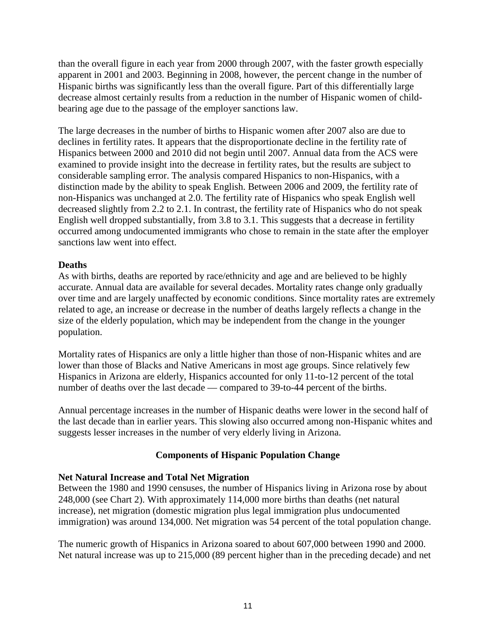than the overall figure in each year from 2000 through 2007, with the faster growth especially apparent in 2001 and 2003. Beginning in 2008, however, the percent change in the number of Hispanic births was significantly less than the overall figure. Part of this differentially large decrease almost certainly results from a reduction in the number of Hispanic women of childbearing age due to the passage of the employer sanctions law.

The large decreases in the number of births to Hispanic women after 2007 also are due to declines in fertility rates. It appears that the disproportionate decline in the fertility rate of Hispanics between 2000 and 2010 did not begin until 2007. Annual data from the ACS were examined to provide insight into the decrease in fertility rates, but the results are subject to considerable sampling error. The analysis compared Hispanics to non-Hispanics, with a distinction made by the ability to speak English. Between 2006 and 2009, the fertility rate of non-Hispanics was unchanged at 2.0. The fertility rate of Hispanics who speak English well decreased slightly from 2.2 to 2.1. In contrast, the fertility rate of Hispanics who do not speak English well dropped substantially, from 3.8 to 3.1. This suggests that a decrease in fertility occurred among undocumented immigrants who chose to remain in the state after the employer sanctions law went into effect.

### **Deaths**

As with births, deaths are reported by race/ethnicity and age and are believed to be highly accurate. Annual data are available for several decades. Mortality rates change only gradually over time and are largely unaffected by economic conditions. Since mortality rates are extremely related to age, an increase or decrease in the number of deaths largely reflects a change in the size of the elderly population, which may be independent from the change in the younger population.

Mortality rates of Hispanics are only a little higher than those of non-Hispanic whites and are lower than those of Blacks and Native Americans in most age groups. Since relatively few Hispanics in Arizona are elderly, Hispanics accounted for only 11-to-12 percent of the total number of deaths over the last decade — compared to 39-to-44 percent of the births.

Annual percentage increases in the number of Hispanic deaths were lower in the second half of the last decade than in earlier years. This slowing also occurred among non-Hispanic whites and suggests lesser increases in the number of very elderly living in Arizona.

### **Components of Hispanic Population Change**

### **Net Natural Increase and Total Net Migration**

Between the 1980 and 1990 censuses, the number of Hispanics living in Arizona rose by about 248,000 (see Chart 2). With approximately 114,000 more births than deaths (net natural increase), net migration (domestic migration plus legal immigration plus undocumented immigration) was around 134,000. Net migration was 54 percent of the total population change.

The numeric growth of Hispanics in Arizona soared to about 607,000 between 1990 and 2000. Net natural increase was up to 215,000 (89 percent higher than in the preceding decade) and net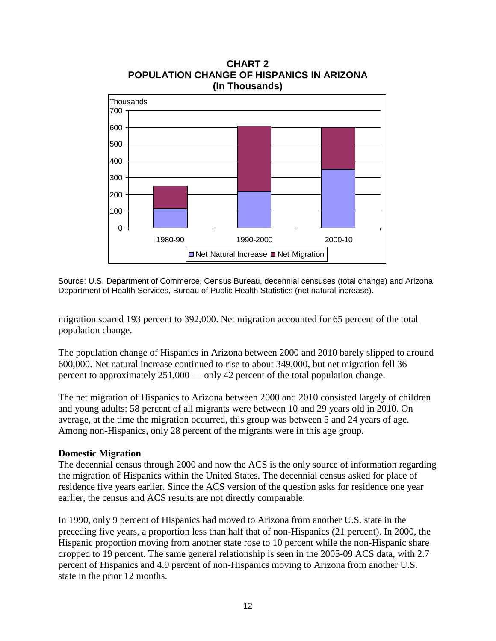

**CHART 2 POPULATION CHANGE OF HISPANICS IN ARIZONA (In Thousands)**

Source: U.S. Department of Commerce, Census Bureau, decennial censuses (total change) and Arizona Department of Health Services, Bureau of Public Health Statistics (net natural increase).

migration soared 193 percent to 392,000. Net migration accounted for 65 percent of the total population change.

The population change of Hispanics in Arizona between 2000 and 2010 barely slipped to around 600,000. Net natural increase continued to rise to about 349,000, but net migration fell 36 percent to approximately 251,000 — only 42 percent of the total population change.

The net migration of Hispanics to Arizona between 2000 and 2010 consisted largely of children and young adults: 58 percent of all migrants were between 10 and 29 years old in 2010. On average, at the time the migration occurred, this group was between 5 and 24 years of age. Among non-Hispanics, only 28 percent of the migrants were in this age group.

### **Domestic Migration**

The decennial census through 2000 and now the ACS is the only source of information regarding the migration of Hispanics within the United States. The decennial census asked for place of residence five years earlier. Since the ACS version of the question asks for residence one year earlier, the census and ACS results are not directly comparable.

In 1990, only 9 percent of Hispanics had moved to Arizona from another U.S. state in the preceding five years, a proportion less than half that of non-Hispanics (21 percent). In 2000, the Hispanic proportion moving from another state rose to 10 percent while the non-Hispanic share dropped to 19 percent. The same general relationship is seen in the 2005-09 ACS data, with 2.7 percent of Hispanics and 4.9 percent of non-Hispanics moving to Arizona from another U.S. state in the prior 12 months.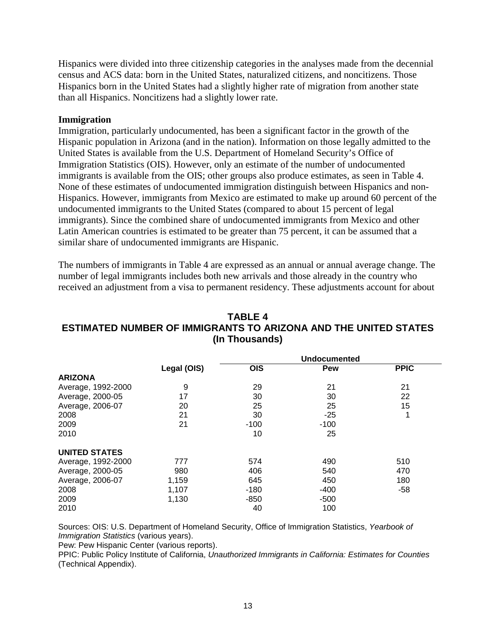Hispanics were divided into three citizenship categories in the analyses made from the decennial census and ACS data: born in the United States, naturalized citizens, and noncitizens. Those Hispanics born in the United States had a slightly higher rate of migration from another state than all Hispanics. Noncitizens had a slightly lower rate.

### **Immigration**

Immigration, particularly undocumented, has been a significant factor in the growth of the Hispanic population in Arizona (and in the nation). Information on those legally admitted to the United States is available from the U.S. Department of Homeland Security's Office of Immigration Statistics (OIS). However, only an estimate of the number of undocumented immigrants is available from the OIS; other groups also produce estimates, as seen in Table 4. None of these estimates of undocumented immigration distinguish between Hispanics and non-Hispanics. However, immigrants from Mexico are estimated to make up around 60 percent of the undocumented immigrants to the United States (compared to about 15 percent of legal immigrants). Since the combined share of undocumented immigrants from Mexico and other Latin American countries is estimated to be greater than 75 percent, it can be assumed that a similar share of undocumented immigrants are Hispanic.

The numbers of immigrants in Table 4 are expressed as an annual or annual average change. The number of legal immigrants includes both new arrivals and those already in the country who received an adjustment from a visa to permanent residency. These adjustments account for about

# **TABLE 4 ESTIMATED NUMBER OF IMMIGRANTS TO ARIZONA AND THE UNITED STATES (In Thousands)**

|                      |             |            | <b>Undocumented</b> |             |  |  |
|----------------------|-------------|------------|---------------------|-------------|--|--|
|                      | Legal (OIS) | <b>OIS</b> | Pew                 | <b>PPIC</b> |  |  |
| <b>ARIZONA</b>       |             |            |                     |             |  |  |
| Average, 1992-2000   | 9           | 29         | 21                  | 21          |  |  |
| Average, 2000-05     | 17          | 30         | 30                  | 22          |  |  |
| Average, 2006-07     | 20          | 25         | 25                  | 15          |  |  |
| 2008                 | 21          | 30         | $-25$               | 1           |  |  |
| 2009                 | 21          | $-100$     | $-100$              |             |  |  |
| 2010                 |             | 10         | 25                  |             |  |  |
| <b>UNITED STATES</b> |             |            |                     |             |  |  |
| Average, 1992-2000   | 777         | 574        | 490                 | 510         |  |  |
| Average, 2000-05     | 980         | 406        | 540                 | 470         |  |  |
| Average, 2006-07     | 1,159       | 645        | 450                 | 180         |  |  |
| 2008                 | 1,107       | $-180$     | -400                | $-58$       |  |  |
| 2009                 | 1,130       | $-850$     | $-500$              |             |  |  |
| 2010                 |             | 40         | 100                 |             |  |  |

Sources: OIS: U.S. Department of Homeland Security, Office of Immigration Statistics, *Yearbook of Immigration Statistics* (various years).

Pew: Pew Hispanic Center (various reports).

PPIC: Public Policy Institute of California, *Unauthorized Immigrants in California: Estimates for Counties* (Technical Appendix).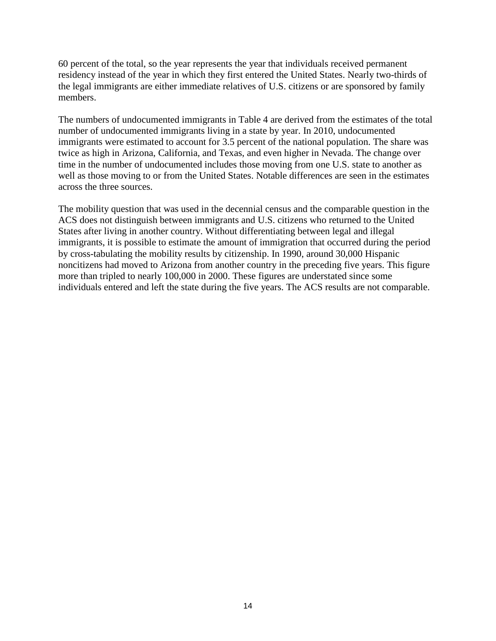60 percent of the total, so the year represents the year that individuals received permanent residency instead of the year in which they first entered the United States. Nearly two-thirds of the legal immigrants are either immediate relatives of U.S. citizens or are sponsored by family members.

The numbers of undocumented immigrants in Table 4 are derived from the estimates of the total number of undocumented immigrants living in a state by year. In 2010, undocumented immigrants were estimated to account for 3.5 percent of the national population. The share was twice as high in Arizona, California, and Texas, and even higher in Nevada. The change over time in the number of undocumented includes those moving from one U.S. state to another as well as those moving to or from the United States. Notable differences are seen in the estimates across the three sources.

The mobility question that was used in the decennial census and the comparable question in the ACS does not distinguish between immigrants and U.S. citizens who returned to the United States after living in another country. Without differentiating between legal and illegal immigrants, it is possible to estimate the amount of immigration that occurred during the period by cross-tabulating the mobility results by citizenship. In 1990, around 30,000 Hispanic noncitizens had moved to Arizona from another country in the preceding five years. This figure more than tripled to nearly 100,000 in 2000. These figures are understated since some individuals entered and left the state during the five years. The ACS results are not comparable.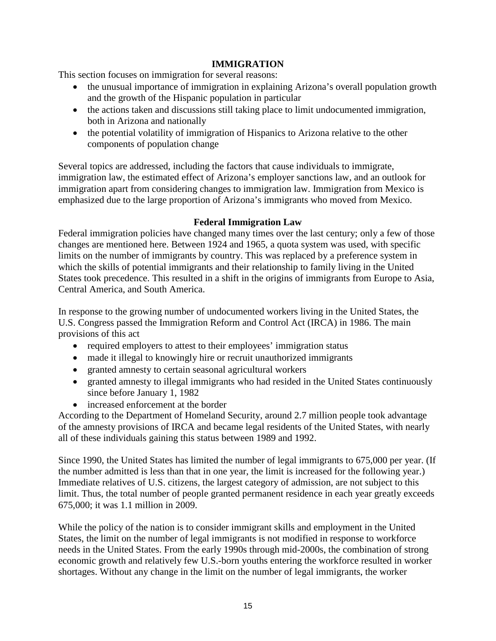### **IMMIGRATION**

This section focuses on immigration for several reasons:

- the unusual importance of immigration in explaining Arizona's overall population growth and the growth of the Hispanic population in particular
- the actions taken and discussions still taking place to limit undocumented immigration, both in Arizona and nationally
- the potential volatility of immigration of Hispanics to Arizona relative to the other components of population change

Several topics are addressed, including the factors that cause individuals to immigrate, immigration law, the estimated effect of Arizona's employer sanctions law, and an outlook for immigration apart from considering changes to immigration law. Immigration from Mexico is emphasized due to the large proportion of Arizona's immigrants who moved from Mexico.

### **Federal Immigration Law**

Federal immigration policies have changed many times over the last century; only a few of those changes are mentioned here. Between 1924 and 1965, a quota system was used, with specific limits on the number of immigrants by country. This was replaced by a preference system in which the skills of potential immigrants and their relationship to family living in the United States took precedence. This resulted in a shift in the origins of immigrants from Europe to Asia, Central America, and South America.

In response to the growing number of undocumented workers living in the United States, the U.S. Congress passed the Immigration Reform and Control Act (IRCA) in 1986. The main provisions of this act

- required employers to attest to their employees' immigration status
- made it illegal to knowingly hire or recruit unauthorized immigrants
- granted amnesty to certain seasonal agricultural workers
- granted amnesty to illegal immigrants who had resided in the United States continuously since before January 1, 1982
- increased enforcement at the border

According to the Department of Homeland Security, around 2.7 million people took advantage of the amnesty provisions of IRCA and became legal residents of the United States, with nearly all of these individuals gaining this status between 1989 and 1992.

Since 1990, the United States has limited the number of legal immigrants to 675,000 per year. (If the number admitted is less than that in one year, the limit is increased for the following year.) Immediate relatives of U.S. citizens, the largest category of admission, are not subject to this limit. Thus, the total number of people granted permanent residence in each year greatly exceeds 675,000; it was 1.1 million in 2009.

While the policy of the nation is to consider immigrant skills and employment in the United States, the limit on the number of legal immigrants is not modified in response to workforce needs in the United States. From the early 1990s through mid-2000s, the combination of strong economic growth and relatively few U.S.-born youths entering the workforce resulted in worker shortages. Without any change in the limit on the number of legal immigrants, the worker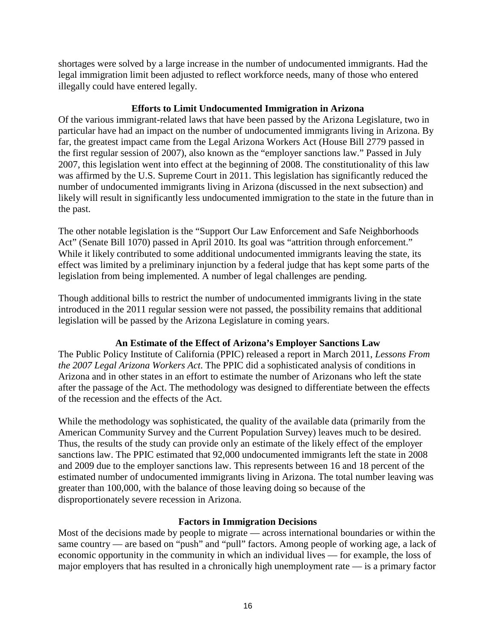shortages were solved by a large increase in the number of undocumented immigrants. Had the legal immigration limit been adjusted to reflect workforce needs, many of those who entered illegally could have entered legally.

### **Efforts to Limit Undocumented Immigration in Arizona**

Of the various immigrant-related laws that have been passed by the Arizona Legislature, two in particular have had an impact on the number of undocumented immigrants living in Arizona. By far, the greatest impact came from the Legal Arizona Workers Act (House Bill 2779 passed in the first regular session of 2007), also known as the "employer sanctions law." Passed in July 2007, this legislation went into effect at the beginning of 2008. The constitutionality of this law was affirmed by the U.S. Supreme Court in 2011. This legislation has significantly reduced the number of undocumented immigrants living in Arizona (discussed in the next subsection) and likely will result in significantly less undocumented immigration to the state in the future than in the past.

The other notable legislation is the "Support Our Law Enforcement and Safe Neighborhoods Act" (Senate Bill 1070) passed in April 2010. Its goal was "attrition through enforcement." While it likely contributed to some additional undocumented immigrants leaving the state, its effect was limited by a preliminary injunction by a federal judge that has kept some parts of the legislation from being implemented. A number of legal challenges are pending.

Though additional bills to restrict the number of undocumented immigrants living in the state introduced in the 2011 regular session were not passed, the possibility remains that additional legislation will be passed by the Arizona Legislature in coming years.

# **An Estimate of the Effect of Arizona's Employer Sanctions Law**

The Public Policy Institute of California (PPIC) released a report in March 2011, *Lessons From the 2007 Legal Arizona Workers Act*. The PPIC did a sophisticated analysis of conditions in Arizona and in other states in an effort to estimate the number of Arizonans who left the state after the passage of the Act. The methodology was designed to differentiate between the effects of the recession and the effects of the Act.

While the methodology was sophisticated, the quality of the available data (primarily from the American Community Survey and the Current Population Survey) leaves much to be desired. Thus, the results of the study can provide only an estimate of the likely effect of the employer sanctions law. The PPIC estimated that 92,000 undocumented immigrants left the state in 2008 and 2009 due to the employer sanctions law. This represents between 16 and 18 percent of the estimated number of undocumented immigrants living in Arizona. The total number leaving was greater than 100,000, with the balance of those leaving doing so because of the disproportionately severe recession in Arizona.

# **Factors in Immigration Decisions**

Most of the decisions made by people to migrate — across international boundaries or within the same country — are based on "push" and "pull" factors. Among people of working age, a lack of economic opportunity in the community in which an individual lives — for example, the loss of major employers that has resulted in a chronically high unemployment rate — is a primary factor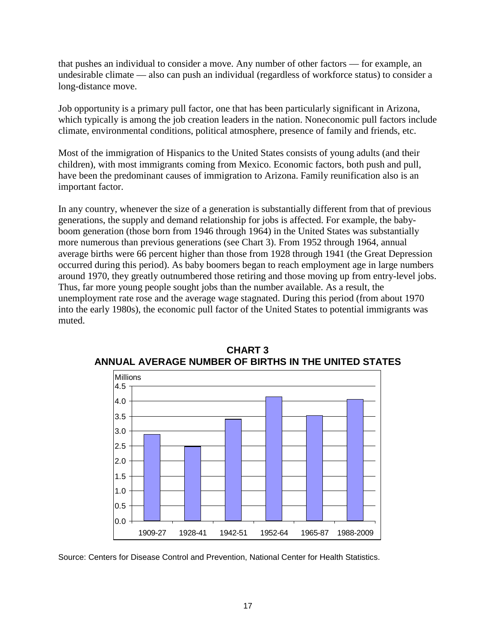that pushes an individual to consider a move. Any number of other factors — for example, an undesirable climate — also can push an individual (regardless of workforce status) to consider a long-distance move.

Job opportunity is a primary pull factor, one that has been particularly significant in Arizona, which typically is among the job creation leaders in the nation. Noneconomic pull factors include climate, environmental conditions, political atmosphere, presence of family and friends, etc.

Most of the immigration of Hispanics to the United States consists of young adults (and their children), with most immigrants coming from Mexico. Economic factors, both push and pull, have been the predominant causes of immigration to Arizona. Family reunification also is an important factor.

In any country, whenever the size of a generation is substantially different from that of previous generations, the supply and demand relationship for jobs is affected. For example, the babyboom generation (those born from 1946 through 1964) in the United States was substantially more numerous than previous generations (see Chart 3). From 1952 through 1964, annual average births were 66 percent higher than those from 1928 through 1941 (the Great Depression occurred during this period). As baby boomers began to reach employment age in large numbers around 1970, they greatly outnumbered those retiring and those moving up from entry-level jobs. Thus, far more young people sought jobs than the number available. As a result, the unemployment rate rose and the average wage stagnated. During this period (from about 1970 into the early 1980s), the economic pull factor of the United States to potential immigrants was muted.



**CHART 3 ANNUAL AVERAGE NUMBER OF BIRTHS IN THE UNITED STATES**

Source: Centers for Disease Control and Prevention, National Center for Health Statistics.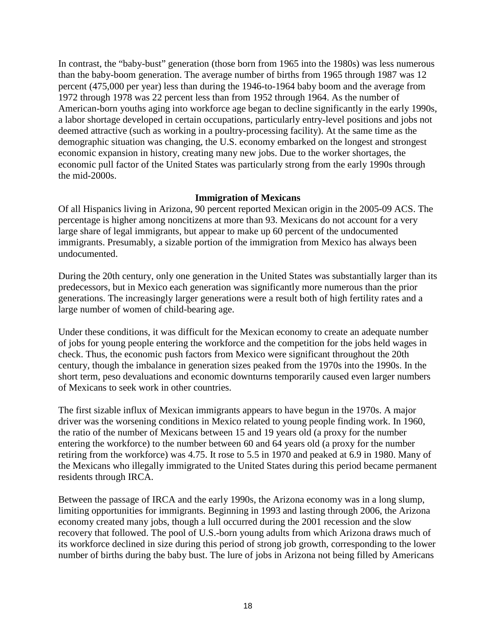In contrast, the "baby-bust" generation (those born from 1965 into the 1980s) was less numerous than the baby-boom generation. The average number of births from 1965 through 1987 was 12 percent (475,000 per year) less than during the 1946-to-1964 baby boom and the average from 1972 through 1978 was 22 percent less than from 1952 through 1964. As the number of American-born youths aging into workforce age began to decline significantly in the early 1990s, a labor shortage developed in certain occupations, particularly entry-level positions and jobs not deemed attractive (such as working in a poultry-processing facility). At the same time as the demographic situation was changing, the U.S. economy embarked on the longest and strongest economic expansion in history, creating many new jobs. Due to the worker shortages, the economic pull factor of the United States was particularly strong from the early 1990s through the mid-2000s.

### **Immigration of Mexicans**

Of all Hispanics living in Arizona, 90 percent reported Mexican origin in the 2005-09 ACS. The percentage is higher among noncitizens at more than 93. Mexicans do not account for a very large share of legal immigrants, but appear to make up 60 percent of the undocumented immigrants. Presumably, a sizable portion of the immigration from Mexico has always been undocumented.

During the 20th century, only one generation in the United States was substantially larger than its predecessors, but in Mexico each generation was significantly more numerous than the prior generations. The increasingly larger generations were a result both of high fertility rates and a large number of women of child-bearing age.

Under these conditions, it was difficult for the Mexican economy to create an adequate number of jobs for young people entering the workforce and the competition for the jobs held wages in check. Thus, the economic push factors from Mexico were significant throughout the 20th century, though the imbalance in generation sizes peaked from the 1970s into the 1990s. In the short term, peso devaluations and economic downturns temporarily caused even larger numbers of Mexicans to seek work in other countries.

The first sizable influx of Mexican immigrants appears to have begun in the 1970s. A major driver was the worsening conditions in Mexico related to young people finding work. In 1960, the ratio of the number of Mexicans between 15 and 19 years old (a proxy for the number entering the workforce) to the number between 60 and 64 years old (a proxy for the number retiring from the workforce) was 4.75. It rose to 5.5 in 1970 and peaked at 6.9 in 1980. Many of the Mexicans who illegally immigrated to the United States during this period became permanent residents through IRCA.

Between the passage of IRCA and the early 1990s, the Arizona economy was in a long slump, limiting opportunities for immigrants. Beginning in 1993 and lasting through 2006, the Arizona economy created many jobs, though a lull occurred during the 2001 recession and the slow recovery that followed. The pool of U.S.-born young adults from which Arizona draws much of its workforce declined in size during this period of strong job growth, corresponding to the lower number of births during the baby bust. The lure of jobs in Arizona not being filled by Americans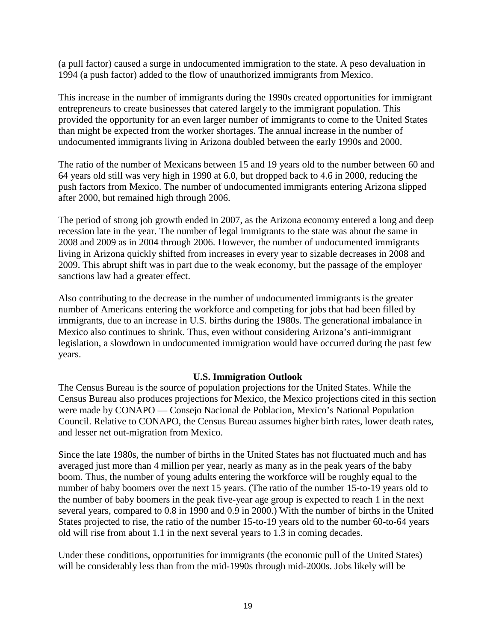(a pull factor) caused a surge in undocumented immigration to the state. A peso devaluation in 1994 (a push factor) added to the flow of unauthorized immigrants from Mexico.

This increase in the number of immigrants during the 1990s created opportunities for immigrant entrepreneurs to create businesses that catered largely to the immigrant population. This provided the opportunity for an even larger number of immigrants to come to the United States than might be expected from the worker shortages. The annual increase in the number of undocumented immigrants living in Arizona doubled between the early 1990s and 2000.

The ratio of the number of Mexicans between 15 and 19 years old to the number between 60 and 64 years old still was very high in 1990 at 6.0, but dropped back to 4.6 in 2000, reducing the push factors from Mexico. The number of undocumented immigrants entering Arizona slipped after 2000, but remained high through 2006.

The period of strong job growth ended in 2007, as the Arizona economy entered a long and deep recession late in the year. The number of legal immigrants to the state was about the same in 2008 and 2009 as in 2004 through 2006. However, the number of undocumented immigrants living in Arizona quickly shifted from increases in every year to sizable decreases in 2008 and 2009. This abrupt shift was in part due to the weak economy, but the passage of the employer sanctions law had a greater effect.

Also contributing to the decrease in the number of undocumented immigrants is the greater number of Americans entering the workforce and competing for jobs that had been filled by immigrants, due to an increase in U.S. births during the 1980s. The generational imbalance in Mexico also continues to shrink. Thus, even without considering Arizona's anti-immigrant legislation, a slowdown in undocumented immigration would have occurred during the past few years.

### **U.S. Immigration Outlook**

The Census Bureau is the source of population projections for the United States. While the Census Bureau also produces projections for Mexico, the Mexico projections cited in this section were made by CONAPO — Consejo Nacional de Poblacion, Mexico's National Population Council. Relative to CONAPO, the Census Bureau assumes higher birth rates, lower death rates, and lesser net out-migration from Mexico.

Since the late 1980s, the number of births in the United States has not fluctuated much and has averaged just more than 4 million per year, nearly as many as in the peak years of the baby boom. Thus, the number of young adults entering the workforce will be roughly equal to the number of baby boomers over the next 15 years. (The ratio of the number 15-to-19 years old to the number of baby boomers in the peak five-year age group is expected to reach 1 in the next several years, compared to 0.8 in 1990 and 0.9 in 2000.) With the number of births in the United States projected to rise, the ratio of the number 15-to-19 years old to the number 60-to-64 years old will rise from about 1.1 in the next several years to 1.3 in coming decades.

Under these conditions, opportunities for immigrants (the economic pull of the United States) will be considerably less than from the mid-1990s through mid-2000s. Jobs likely will be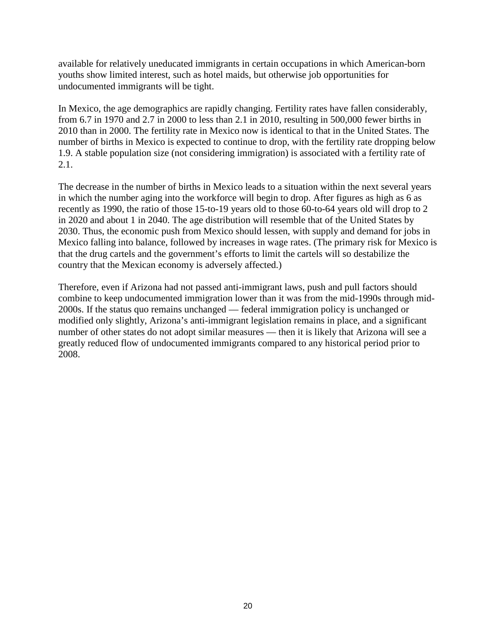available for relatively uneducated immigrants in certain occupations in which American-born youths show limited interest, such as hotel maids, but otherwise job opportunities for undocumented immigrants will be tight.

In Mexico, the age demographics are rapidly changing. Fertility rates have fallen considerably, from 6.7 in 1970 and 2.7 in 2000 to less than 2.1 in 2010, resulting in 500,000 fewer births in 2010 than in 2000. The fertility rate in Mexico now is identical to that in the United States. The number of births in Mexico is expected to continue to drop, with the fertility rate dropping below 1.9. A stable population size (not considering immigration) is associated with a fertility rate of 2.1.

The decrease in the number of births in Mexico leads to a situation within the next several years in which the number aging into the workforce will begin to drop. After figures as high as 6 as recently as 1990, the ratio of those 15-to-19 years old to those 60-to-64 years old will drop to 2 in 2020 and about 1 in 2040. The age distribution will resemble that of the United States by 2030. Thus, the economic push from Mexico should lessen, with supply and demand for jobs in Mexico falling into balance, followed by increases in wage rates. (The primary risk for Mexico is that the drug cartels and the government's efforts to limit the cartels will so destabilize the country that the Mexican economy is adversely affected.)

Therefore, even if Arizona had not passed anti-immigrant laws, push and pull factors should combine to keep undocumented immigration lower than it was from the mid-1990s through mid-2000s. If the status quo remains unchanged — federal immigration policy is unchanged or modified only slightly, Arizona's anti-immigrant legislation remains in place, and a significant number of other states do not adopt similar measures — then it is likely that Arizona will see a greatly reduced flow of undocumented immigrants compared to any historical period prior to 2008.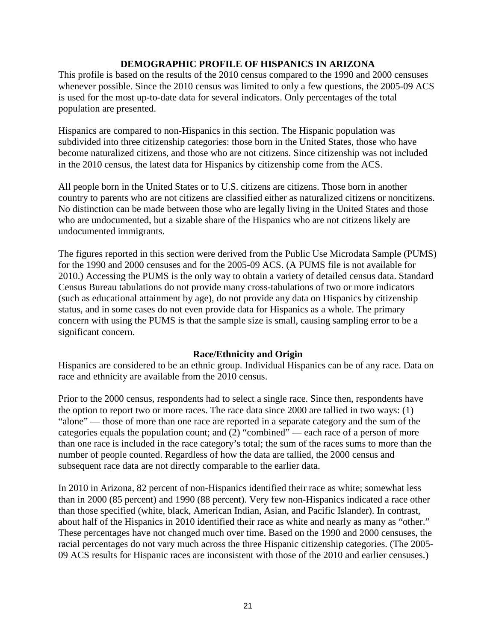### **DEMOGRAPHIC PROFILE OF HISPANICS IN ARIZONA**

This profile is based on the results of the 2010 census compared to the 1990 and 2000 censuses whenever possible. Since the 2010 census was limited to only a few questions, the 2005-09 ACS is used for the most up-to-date data for several indicators. Only percentages of the total population are presented.

Hispanics are compared to non-Hispanics in this section. The Hispanic population was subdivided into three citizenship categories: those born in the United States, those who have become naturalized citizens, and those who are not citizens. Since citizenship was not included in the 2010 census, the latest data for Hispanics by citizenship come from the ACS.

All people born in the United States or to U.S. citizens are citizens. Those born in another country to parents who are not citizens are classified either as naturalized citizens or noncitizens. No distinction can be made between those who are legally living in the United States and those who are undocumented, but a sizable share of the Hispanics who are not citizens likely are undocumented immigrants.

The figures reported in this section were derived from the Public Use Microdata Sample (PUMS) for the 1990 and 2000 censuses and for the 2005-09 ACS. (A PUMS file is not available for 2010.) Accessing the PUMS is the only way to obtain a variety of detailed census data. Standard Census Bureau tabulations do not provide many cross-tabulations of two or more indicators (such as educational attainment by age), do not provide any data on Hispanics by citizenship status, and in some cases do not even provide data for Hispanics as a whole. The primary concern with using the PUMS is that the sample size is small, causing sampling error to be a significant concern.

### **Race/Ethnicity and Origin**

Hispanics are considered to be an ethnic group. Individual Hispanics can be of any race. Data on race and ethnicity are available from the 2010 census.

Prior to the 2000 census, respondents had to select a single race. Since then, respondents have the option to report two or more races. The race data since 2000 are tallied in two ways: (1) "alone" — those of more than one race are reported in a separate category and the sum of the categories equals the population count; and (2) "combined" — each race of a person of more than one race is included in the race category's total; the sum of the races sums to more than the number of people counted. Regardless of how the data are tallied, the 2000 census and subsequent race data are not directly comparable to the earlier data.

In 2010 in Arizona, 82 percent of non-Hispanics identified their race as white; somewhat less than in 2000 (85 percent) and 1990 (88 percent). Very few non-Hispanics indicated a race other than those specified (white, black, American Indian, Asian, and Pacific Islander). In contrast, about half of the Hispanics in 2010 identified their race as white and nearly as many as "other." These percentages have not changed much over time. Based on the 1990 and 2000 censuses, the racial percentages do not vary much across the three Hispanic citizenship categories. (The 2005- 09 ACS results for Hispanic races are inconsistent with those of the 2010 and earlier censuses.)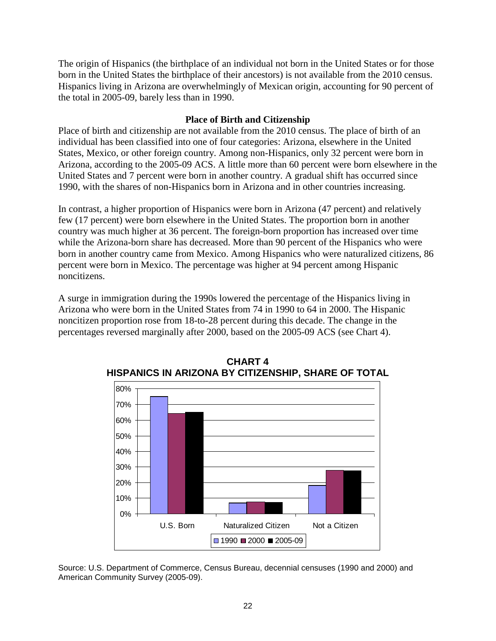The origin of Hispanics (the birthplace of an individual not born in the United States or for those born in the United States the birthplace of their ancestors) is not available from the 2010 census. Hispanics living in Arizona are overwhelmingly of Mexican origin, accounting for 90 percent of the total in 2005-09, barely less than in 1990.

### **Place of Birth and Citizenship**

Place of birth and citizenship are not available from the 2010 census. The place of birth of an individual has been classified into one of four categories: Arizona, elsewhere in the United States, Mexico, or other foreign country. Among non-Hispanics, only 32 percent were born in Arizona, according to the 2005-09 ACS. A little more than 60 percent were born elsewhere in the United States and 7 percent were born in another country. A gradual shift has occurred since 1990, with the shares of non-Hispanics born in Arizona and in other countries increasing.

In contrast, a higher proportion of Hispanics were born in Arizona (47 percent) and relatively few (17 percent) were born elsewhere in the United States. The proportion born in another country was much higher at 36 percent. The foreign-born proportion has increased over time while the Arizona-born share has decreased. More than 90 percent of the Hispanics who were born in another country came from Mexico. Among Hispanics who were naturalized citizens, 86 percent were born in Mexico. The percentage was higher at 94 percent among Hispanic noncitizens.

A surge in immigration during the 1990s lowered the percentage of the Hispanics living in Arizona who were born in the United States from 74 in 1990 to 64 in 2000. The Hispanic noncitizen proportion rose from 18-to-28 percent during this decade. The change in the percentages reversed marginally after 2000, based on the 2005-09 ACS (see Chart 4).



**CHART 4 HISPANICS IN ARIZONA BY CITIZENSHIP, SHARE OF TOTAL**

Source: U.S. Department of Commerce, Census Bureau, decennial censuses (1990 and 2000) and American Community Survey (2005-09).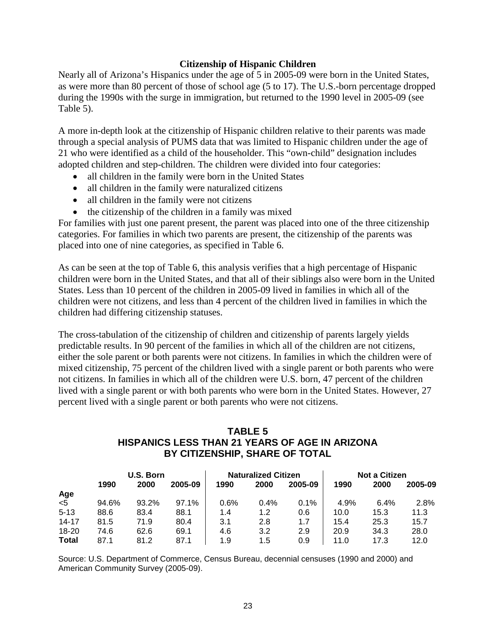### **Citizenship of Hispanic Children**

Nearly all of Arizona's Hispanics under the age of 5 in 2005-09 were born in the United States, as were more than 80 percent of those of school age (5 to 17). The U.S.-born percentage dropped during the 1990s with the surge in immigration, but returned to the 1990 level in 2005-09 (see Table 5).

A more in-depth look at the citizenship of Hispanic children relative to their parents was made through a special analysis of PUMS data that was limited to Hispanic children under the age of 21 who were identified as a child of the householder. This "own-child" designation includes adopted children and step-children. The children were divided into four categories:

- all children in the family were born in the United States
- all children in the family were naturalized citizens
- all children in the family were not citizens
- the citizenship of the children in a family was mixed

For families with just one parent present, the parent was placed into one of the three citizenship categories. For families in which two parents are present, the citizenship of the parents was placed into one of nine categories, as specified in Table 6.

As can be seen at the top of Table 6, this analysis verifies that a high percentage of Hispanic children were born in the United States, and that all of their siblings also were born in the United States. Less than 10 percent of the children in 2005-09 lived in families in which all of the children were not citizens, and less than 4 percent of the children lived in families in which the children had differing citizenship statuses.

The cross-tabulation of the citizenship of children and citizenship of parents largely yields predictable results. In 90 percent of the families in which all of the children are not citizens, either the sole parent or both parents were not citizens. In families in which the children were of mixed citizenship, 75 percent of the children lived with a single parent or both parents who were not citizens. In families in which all of the children were U.S. born, 47 percent of the children lived with a single parent or with both parents who were born in the United States. However, 27 percent lived with a single parent or both parents who were not citizens.

# **TABLE 5 HISPANICS LESS THAN 21 YEARS OF AGE IN ARIZONA BY CITIZENSHIP, SHARE OF TOTAL**

|              | U.S. Born |       |         |      | <b>Naturalized Citizen</b> |         |      | <b>Not a Citizen</b> |         |  |
|--------------|-----------|-------|---------|------|----------------------------|---------|------|----------------------|---------|--|
|              | 1990      | 2000  | 2005-09 | 1990 | 2000                       | 2005-09 | 1990 | 2000                 | 2005-09 |  |
| Age          |           |       |         |      |                            |         |      |                      |         |  |
| $5$          | 94.6%     | 93.2% | 97.1%   | 0.6% | 0.4%                       | 0.1%    | 4.9% | 6.4%                 | 2.8%    |  |
| $5 - 13$     | 88.6      | 83.4  | 88.1    | 1.4  | 1.2                        | 0.6     | 10.0 | 15.3                 | 11.3    |  |
| $14 - 17$    | 81.5      | 71.9  | 80.4    | 3.1  | 2.8                        | 1.7     | 15.4 | 25.3                 | 15.7    |  |
| 18-20        | 74.6      | 62.6  | 69.1    | 4.6  | 3.2                        | 2.9     | 20.9 | 34.3                 | 28.0    |  |
| <b>Total</b> | 87.1      | 81.2  | 87.1    | 1.9  | 1.5                        | 0.9     | 11.0 | 17.3                 | 12.0    |  |

Source: U.S. Department of Commerce, Census Bureau, decennial censuses (1990 and 2000) and American Community Survey (2005-09).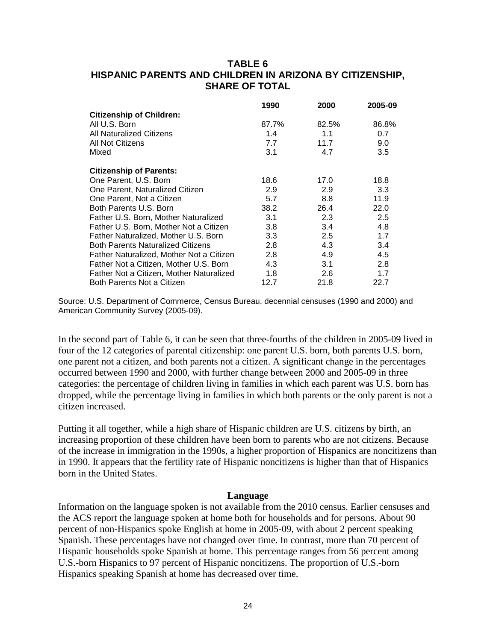# **TABLE 6 HISPANIC PARENTS AND CHILDREN IN ARIZONA BY CITIZENSHIP, SHARE OF TOTAL**

|                                          | 1990  | 2000  | 2005-09 |
|------------------------------------------|-------|-------|---------|
| <b>Citizenship of Children:</b>          |       |       |         |
| All U.S. Born                            | 87.7% | 82.5% | 86.8%   |
| All Naturalized Citizens                 | 1.4   | 1.1   | 0.7     |
| All Not Citizens                         | 7.7   | 11.7  | 9.0     |
| Mixed                                    | 3.1   | 4.7   | 3.5     |
| <b>Citizenship of Parents:</b>           |       |       |         |
| One Parent, U.S. Born                    | 18.6  | 17.0  | 18.8    |
| One Parent, Naturalized Citizen          | 2.9   | 2.9   | 3.3     |
| One Parent, Not a Citizen                | 5.7   | 8.8   | 11.9    |
| Both Parents U.S. Born                   | 38.2  | 26.4  | 22.0    |
| Father U.S. Born, Mother Naturalized     | 3.1   | 2.3   | 2.5     |
| Father U.S. Born, Mother Not a Citizen   | 3.8   | 3.4   | 4.8     |
| Father Naturalized, Mother U.S. Born     | 3.3   | 2.5   | 1.7     |
| <b>Both Parents Naturalized Citizens</b> | 2.8   | 4.3   | 3.4     |
| Father Naturalized, Mother Not a Citizen | 2.8   | 4.9   | 4.5     |
| Father Not a Citizen, Mother U.S. Born   | 4.3   | 3.1   | 2.8     |
| Father Not a Citizen, Mother Naturalized | 1.8   | 2.6   | 1.7     |
| Both Parents Not a Citizen               | 12.7  | 21.8  | 22.7    |

Source: U.S. Department of Commerce, Census Bureau, decennial censuses (1990 and 2000) and American Community Survey (2005-09).

In the second part of Table 6, it can be seen that three-fourths of the children in 2005-09 lived in four of the 12 categories of parental citizenship: one parent U.S. born, both parents U.S. born, one parent not a citizen, and both parents not a citizen. A significant change in the percentages occurred between 1990 and 2000, with further change between 2000 and 2005-09 in three categories: the percentage of children living in families in which each parent was U.S. born has dropped, while the percentage living in families in which both parents or the only parent is not a citizen increased.

Putting it all together, while a high share of Hispanic children are U.S. citizens by birth, an increasing proportion of these children have been born to parents who are not citizens. Because of the increase in immigration in the 1990s, a higher proportion of Hispanics are noncitizens than in 1990. It appears that the fertility rate of Hispanic noncitizens is higher than that of Hispanics born in the United States.

#### **Language**

Information on the language spoken is not available from the 2010 census. Earlier censuses and the ACS report the language spoken at home both for households and for persons. About 90 percent of non-Hispanics spoke English at home in 2005-09, with about 2 percent speaking Spanish. These percentages have not changed over time. In contrast, more than 70 percent of Hispanic households spoke Spanish at home. This percentage ranges from 56 percent among U.S.-born Hispanics to 97 percent of Hispanic noncitizens. The proportion of U.S.-born Hispanics speaking Spanish at home has decreased over time.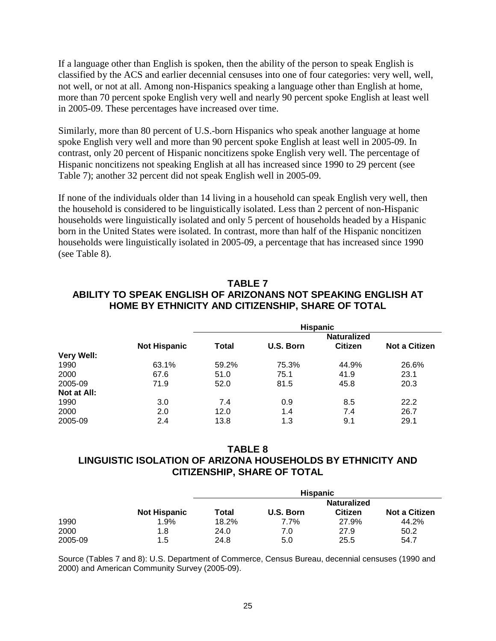If a language other than English is spoken, then the ability of the person to speak English is classified by the ACS and earlier decennial censuses into one of four categories: very well, well, not well, or not at all. Among non-Hispanics speaking a language other than English at home, more than 70 percent spoke English very well and nearly 90 percent spoke English at least well in 2005-09. These percentages have increased over time.

Similarly, more than 80 percent of U.S.-born Hispanics who speak another language at home spoke English very well and more than 90 percent spoke English at least well in 2005-09. In contrast, only 20 percent of Hispanic noncitizens spoke English very well. The percentage of Hispanic noncitizens not speaking English at all has increased since 1990 to 29 percent (see Table 7); another 32 percent did not speak English well in 2005-09.

If none of the individuals older than 14 living in a household can speak English very well, then the household is considered to be linguistically isolated. Less than 2 percent of non-Hispanic households were linguistically isolated and only 5 percent of households headed by a Hispanic born in the United States were isolated. In contrast, more than half of the Hispanic noncitizen households were linguistically isolated in 2005-09, a percentage that has increased since 1990 (see Table 8).

# **TABLE 7 ABILITY TO SPEAK ENGLISH OF ARIZONANS NOT SPEAKING ENGLISH AT HOME BY ETHNICITY AND CITIZENSHIP, SHARE OF TOTAL**

|             | <b>Hispanic</b>     |       |           |                    |                      |
|-------------|---------------------|-------|-----------|--------------------|----------------------|
|             |                     |       |           | <b>Naturalized</b> |                      |
|             | <b>Not Hispanic</b> | Total | U.S. Born | <b>Citizen</b>     | <b>Not a Citizen</b> |
| Very Well:  |                     |       |           |                    |                      |
| 1990        | 63.1%               | 59.2% | 75.3%     | 44.9%              | 26.6%                |
| 2000        | 67.6                | 51.0  | 75.1      | 41.9               | 23.1                 |
| 2005-09     | 71.9                | 52.0  | 81.5      | 45.8               | 20.3                 |
| Not at All: |                     |       |           |                    |                      |
| 1990        | 3.0                 | 7.4   | 0.9       | 8.5                | 22.2                 |
| 2000        | 2.0                 | 12.0  | 1.4       | 7.4                | 26.7                 |
| 2005-09     | 2.4                 | 13.8  | 1.3       | 9.1                | 29.1                 |

# **TABLE 8 LINGUISTIC ISOLATION OF ARIZONA HOUSEHOLDS BY ETHNICITY AND CITIZENSHIP, SHARE OF TOTAL**

|         |                     |       | <b>Hispanic</b> |                |                      |
|---------|---------------------|-------|-----------------|----------------|----------------------|
|         |                     |       |                 | Naturalized    |                      |
|         | <b>Not Hispanic</b> | Total | U.S. Born       | <b>Citizen</b> | <b>Not a Citizen</b> |
| 1990    | 1.9%                | 18.2% | 7.7%            | 27.9%          | 44.2%                |
| 2000    | 1.8                 | 24.0  | 7.0             | 27.9           | 50.2                 |
| 2005-09 | 1.5                 | 24.8  | 5.0             | 25.5           | 54.7                 |

Source (Tables 7 and 8): U.S. Department of Commerce, Census Bureau, decennial censuses (1990 and 2000) and American Community Survey (2005-09).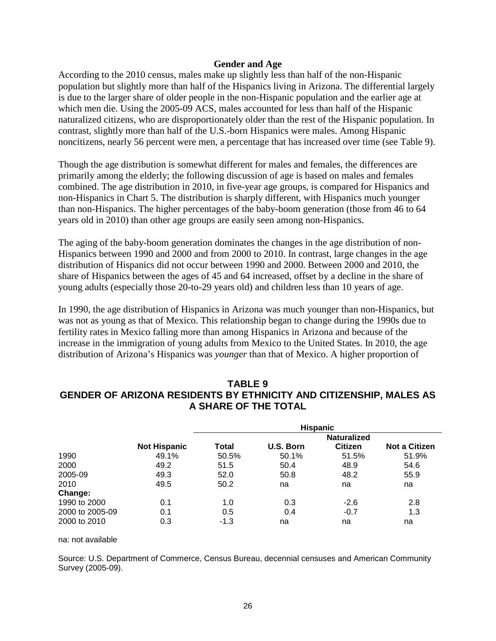#### **Gender and Age**

According to the 2010 census, males make up slightly less than half of the non-Hispanic population but slightly more than half of the Hispanics living in Arizona. The differential largely is due to the larger share of older people in the non-Hispanic population and the earlier age at which men die. Using the 2005-09 ACS, males accounted for less than half of the Hispanic naturalized citizens, who are disproportionately older than the rest of the Hispanic population. In contrast, slightly more than half of the U.S.-born Hispanics were males. Among Hispanic noncitizens, nearly 56 percent were men, a percentage that has increased over time (see Table 9).

Though the age distribution is somewhat different for males and females, the differences are primarily among the elderly; the following discussion of age is based on males and females combined. The age distribution in 2010, in five-year age groups, is compared for Hispanics and non-Hispanics in Chart 5. The distribution is sharply different, with Hispanics much younger than non-Hispanics. The higher percentages of the baby-boom generation (those from 46 to 64 years old in 2010) than other age groups are easily seen among non-Hispanics.

The aging of the baby-boom generation dominates the changes in the age distribution of non-Hispanics between 1990 and 2000 and from 2000 to 2010. In contrast, large changes in the age distribution of Hispanics did not occur between 1990 and 2000. Between 2000 and 2010, the share of Hispanics between the ages of 45 and 64 increased, offset by a decline in the share of young adults (especially those 20-to-29 years old) and children less than 10 years of age.

In 1990, the age distribution of Hispanics in Arizona was much younger than non-Hispanics, but was not as young as that of Mexico. This relationship began to change during the 1990s due to fertility rates in Mexico falling more than among Hispanics in Arizona and because of the increase in the immigration of young adults from Mexico to the United States. In 2010, the age distribution of Arizona's Hispanics was *younger* than that of Mexico. A higher proportion of

# **TABLE 9 GENDER OF ARIZONA RESIDENTS BY ETHNICITY AND CITIZENSHIP, MALES AS A SHARE OF THE TOTAL**

|                 |                     |                    | <b>Hispanic</b> |                |                      |  |
|-----------------|---------------------|--------------------|-----------------|----------------|----------------------|--|
|                 |                     | <b>Naturalized</b> |                 |                |                      |  |
|                 | <b>Not Hispanic</b> | Total              | U.S. Born       | <b>Citizen</b> | <b>Not a Citizen</b> |  |
| 1990            | 49.1%               | 50.5%              | 50.1%           | 51.5%          | 51.9%                |  |
| 2000            | 49.2                | 51.5               | 50.4            | 48.9           | 54.6                 |  |
| 2005-09         | 49.3                | 52.0               | 50.8            | 48.2           | 55.9                 |  |
| 2010            | 49.5                | 50.2               | na              | na             | na                   |  |
| Change:         |                     |                    |                 |                |                      |  |
| 1990 to 2000    | 0.1                 | 1.0                | 0.3             | $-2.6$         | 2.8                  |  |
| 2000 to 2005-09 | 0.1                 | 0.5                | 0.4             | $-0.7$         | 1.3                  |  |
| 2000 to 2010    | 0.3                 | $-1.3$             | na              | na             | na                   |  |

#### na: not available

Source: U.S. Department of Commerce, Census Bureau, decennial censuses and American Community Survey (2005-09).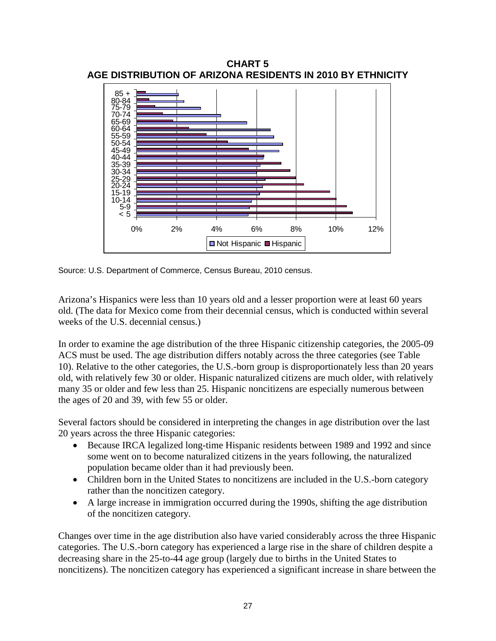

**CHART 5 AGE DISTRIBUTION OF ARIZONA RESIDENTS IN 2010 BY ETHNICITY**

Source: U.S. Department of Commerce, Census Bureau, 2010 census.

Arizona's Hispanics were less than 10 years old and a lesser proportion were at least 60 years old. (The data for Mexico come from their decennial census, which is conducted within several weeks of the U.S. decennial census.)

In order to examine the age distribution of the three Hispanic citizenship categories, the 2005-09 ACS must be used. The age distribution differs notably across the three categories (see Table 10). Relative to the other categories, the U.S.-born group is disproportionately less than 20 years old, with relatively few 30 or older. Hispanic naturalized citizens are much older, with relatively many 35 or older and few less than 25. Hispanic noncitizens are especially numerous between the ages of 20 and 39, with few 55 or older.

Several factors should be considered in interpreting the changes in age distribution over the last 20 years across the three Hispanic categories:

- Because IRCA legalized long-time Hispanic residents between 1989 and 1992 and since some went on to become naturalized citizens in the years following, the naturalized population became older than it had previously been.
- Children born in the United States to noncitizens are included in the U.S.-born category rather than the noncitizen category.
- A large increase in immigration occurred during the 1990s, shifting the age distribution of the noncitizen category.

Changes over time in the age distribution also have varied considerably across the three Hispanic categories. The U.S.-born category has experienced a large rise in the share of children despite a decreasing share in the 25-to-44 age group (largely due to births in the United States to noncitizens). The noncitizen category has experienced a significant increase in share between the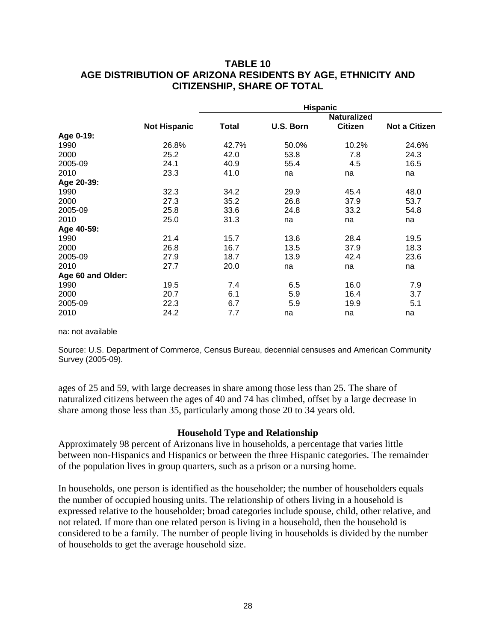# **TABLE 10 AGE DISTRIBUTION OF ARIZONA RESIDENTS BY AGE, ETHNICITY AND CITIZENSHIP, SHARE OF TOTAL**

|                   |                     | <b>Hispanic</b> |           |                    |                      |  |
|-------------------|---------------------|-----------------|-----------|--------------------|----------------------|--|
|                   |                     |                 |           | <b>Naturalized</b> |                      |  |
|                   | <b>Not Hispanic</b> | Total           | U.S. Born | <b>Citizen</b>     | <b>Not a Citizen</b> |  |
| Age 0-19:         |                     |                 |           |                    |                      |  |
| 1990              | 26.8%               | 42.7%           | 50.0%     | 10.2%              | 24.6%                |  |
| 2000              | 25.2                | 42.0            | 53.8      | 7.8                | 24.3                 |  |
| 2005-09           | 24.1                | 40.9            | 55.4      | 4.5                | 16.5                 |  |
| 2010              | 23.3                | 41.0            | na        | na                 | na                   |  |
| Age 20-39:        |                     |                 |           |                    |                      |  |
| 1990              | 32.3                | 34.2            | 29.9      | 45.4               | 48.0                 |  |
| 2000              | 27.3                | 35.2            | 26.8      | 37.9               | 53.7                 |  |
| 2005-09           | 25.8                | 33.6            | 24.8      | 33.2               | 54.8                 |  |
| 2010              | 25.0                | 31.3            | na        | na                 | na                   |  |
| Age 40-59:        |                     |                 |           |                    |                      |  |
| 1990              | 21.4                | 15.7            | 13.6      | 28.4               | 19.5                 |  |
| 2000              | 26.8                | 16.7            | 13.5      | 37.9               | 18.3                 |  |
| 2005-09           | 27.9                | 18.7            | 13.9      | 42.4               | 23.6                 |  |
| 2010              | 27.7                | 20.0            | na        | na                 | na                   |  |
| Age 60 and Older: |                     |                 |           |                    |                      |  |
| 1990              | 19.5                | 7.4             | 6.5       | 16.0               | 7.9                  |  |
| 2000              | 20.7                | 6.1             | 5.9       | 16.4               | 3.7                  |  |
| 2005-09           | 22.3                | 6.7             | 5.9       | 19.9               | 5.1                  |  |
| 2010              | 24.2                | 7.7             | na        | na                 | na                   |  |

na: not available

Source: U.S. Department of Commerce, Census Bureau, decennial censuses and American Community Survey (2005-09).

ages of 25 and 59, with large decreases in share among those less than 25. The share of naturalized citizens between the ages of 40 and 74 has climbed, offset by a large decrease in share among those less than 35, particularly among those 20 to 34 years old.

### **Household Type and Relationship**

Approximately 98 percent of Arizonans live in households, a percentage that varies little between non-Hispanics and Hispanics or between the three Hispanic categories. The remainder of the population lives in group quarters, such as a prison or a nursing home.

In households, one person is identified as the householder; the number of householders equals the number of occupied housing units. The relationship of others living in a household is expressed relative to the householder; broad categories include spouse, child, other relative, and not related. If more than one related person is living in a household, then the household is considered to be a family. The number of people living in households is divided by the number of households to get the average household size.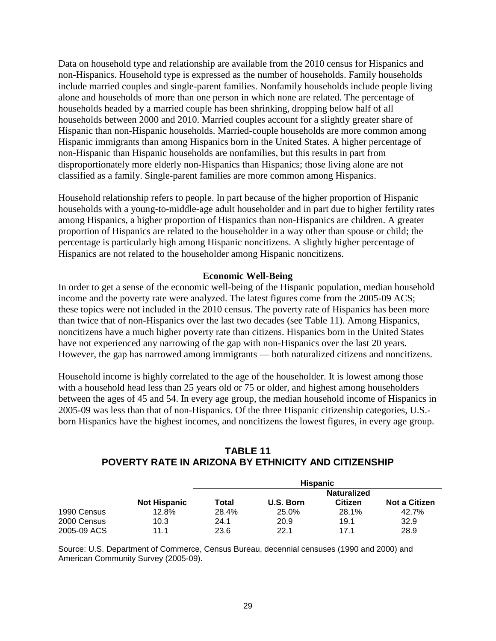Data on household type and relationship are available from the 2010 census for Hispanics and non-Hispanics. Household type is expressed as the number of households. Family households include married couples and single-parent families. Nonfamily households include people living alone and households of more than one person in which none are related. The percentage of households headed by a married couple has been shrinking, dropping below half of all households between 2000 and 2010. Married couples account for a slightly greater share of Hispanic than non-Hispanic households. Married-couple households are more common among Hispanic immigrants than among Hispanics born in the United States. A higher percentage of non-Hispanic than Hispanic households are nonfamilies, but this results in part from disproportionately more elderly non-Hispanics than Hispanics; those living alone are not classified as a family. Single-parent families are more common among Hispanics.

Household relationship refers to people. In part because of the higher proportion of Hispanic households with a young-to-middle-age adult householder and in part due to higher fertility rates among Hispanics, a higher proportion of Hispanics than non-Hispanics are children. A greater proportion of Hispanics are related to the householder in a way other than spouse or child; the percentage is particularly high among Hispanic noncitizens. A slightly higher percentage of Hispanics are not related to the householder among Hispanic noncitizens.

### **Economic Well-Being**

In order to get a sense of the economic well-being of the Hispanic population, median household income and the poverty rate were analyzed. The latest figures come from the 2005-09 ACS; these topics were not included in the 2010 census. The poverty rate of Hispanics has been more than twice that of non-Hispanics over the last two decades (see Table 11). Among Hispanics, noncitizens have a much higher poverty rate than citizens. Hispanics born in the United States have not experienced any narrowing of the gap with non-Hispanics over the last 20 years. However, the gap has narrowed among immigrants — both naturalized citizens and noncitizens.

Household income is highly correlated to the age of the householder. It is lowest among those with a household head less than 25 years old or 75 or older, and highest among householders between the ages of 45 and 54. In every age group, the median household income of Hispanics in 2005-09 was less than that of non-Hispanics. Of the three Hispanic citizenship categories, U.S. born Hispanics have the highest incomes, and noncitizens the lowest figures, in every age group.

|             |                     |       | <b>Hispanic</b>    |         |                      |
|-------------|---------------------|-------|--------------------|---------|----------------------|
|             |                     |       | <b>Naturalized</b> |         |                      |
|             | <b>Not Hispanic</b> | Total | U.S. Born          | Citizen | <b>Not a Citizen</b> |
| 1990 Census | 12.8%               | 28.4% | 25.0%              | 28.1%   | 42.7%                |
| 2000 Census | 10.3                | 24.1  | 20.9               | 19.1    | 32.9                 |
| 2005-09 ACS | 11.1                | 23.6  | 22.1               | 171     | 28.9                 |

**TABLE 11 POVERTY RATE IN ARIZONA BY ETHNICITY AND CITIZENSHIP**

Source: U.S. Department of Commerce, Census Bureau, decennial censuses (1990 and 2000) and American Community Survey (2005-09).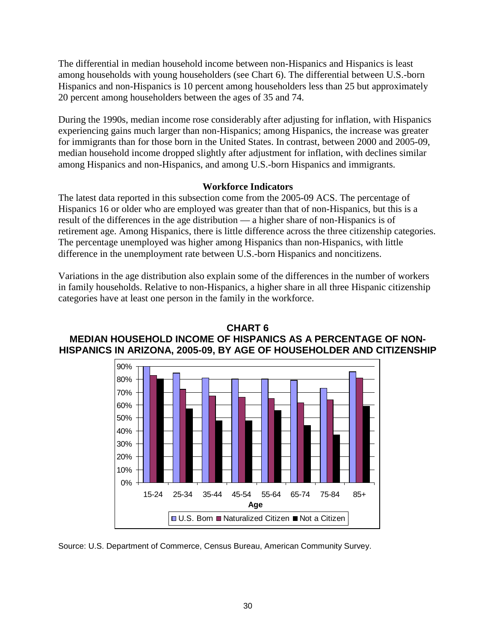The differential in median household income between non-Hispanics and Hispanics is least among households with young householders (see Chart 6). The differential between U.S.-born Hispanics and non-Hispanics is 10 percent among householders less than 25 but approximately 20 percent among householders between the ages of 35 and 74.

During the 1990s, median income rose considerably after adjusting for inflation, with Hispanics experiencing gains much larger than non-Hispanics; among Hispanics, the increase was greater for immigrants than for those born in the United States. In contrast, between 2000 and 2005-09, median household income dropped slightly after adjustment for inflation, with declines similar among Hispanics and non-Hispanics, and among U.S.-born Hispanics and immigrants.

### **Workforce Indicators**

The latest data reported in this subsection come from the 2005-09 ACS. The percentage of Hispanics 16 or older who are employed was greater than that of non-Hispanics, but this is a result of the differences in the age distribution — a higher share of non-Hispanics is of retirement age. Among Hispanics, there is little difference across the three citizenship categories. The percentage unemployed was higher among Hispanics than non-Hispanics, with little difference in the unemployment rate between U.S.-born Hispanics and noncitizens.

Variations in the age distribution also explain some of the differences in the number of workers in family households. Relative to non-Hispanics, a higher share in all three Hispanic citizenship categories have at least one person in the family in the workforce.



**CHART 6 MEDIAN HOUSEHOLD INCOME OF HISPANICS AS A PERCENTAGE OF NON-HISPANICS IN ARIZONA, 2005-09, BY AGE OF HOUSEHOLDER AND CITIZENSHIP**

Source: U.S. Department of Commerce, Census Bureau, American Community Survey.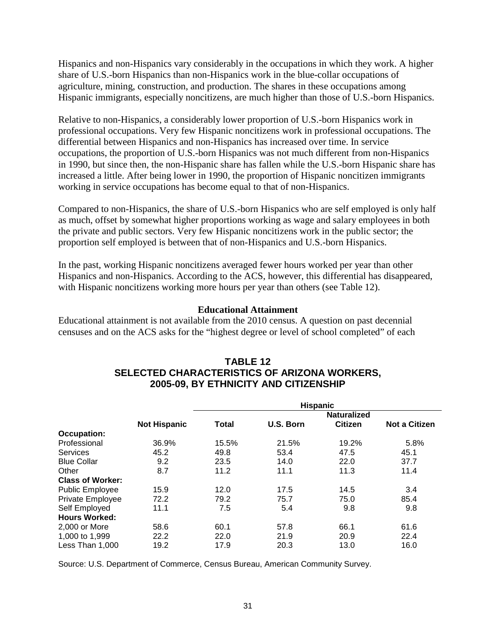Hispanics and non-Hispanics vary considerably in the occupations in which they work. A higher share of U.S.-born Hispanics than non-Hispanics work in the blue-collar occupations of agriculture, mining, construction, and production. The shares in these occupations among Hispanic immigrants, especially noncitizens, are much higher than those of U.S.-born Hispanics.

Relative to non-Hispanics, a considerably lower proportion of U.S.-born Hispanics work in professional occupations. Very few Hispanic noncitizens work in professional occupations. The differential between Hispanics and non-Hispanics has increased over time. In service occupations, the proportion of U.S.-born Hispanics was not much different from non-Hispanics in 1990, but since then, the non-Hispanic share has fallen while the U.S.-born Hispanic share has increased a little. After being lower in 1990, the proportion of Hispanic noncitizen immigrants working in service occupations has become equal to that of non-Hispanics.

Compared to non-Hispanics, the share of U.S.-born Hispanics who are self employed is only half as much, offset by somewhat higher proportions working as wage and salary employees in both the private and public sectors. Very few Hispanic noncitizens work in the public sector; the proportion self employed is between that of non-Hispanics and U.S.-born Hispanics.

In the past, working Hispanic noncitizens averaged fewer hours worked per year than other Hispanics and non-Hispanics. According to the ACS, however, this differential has disappeared, with Hispanic noncitizens working more hours per year than others (see Table 12).

### **Educational Attainment**

Educational attainment is not available from the 2010 census. A question on past decennial censuses and on the ACS asks for the "highest degree or level of school completed" of each

|                         |                     |                    | <b>Hispanic</b> |                |                      |  |  |
|-------------------------|---------------------|--------------------|-----------------|----------------|----------------------|--|--|
|                         |                     | <b>Naturalized</b> |                 |                |                      |  |  |
|                         | <b>Not Hispanic</b> | <b>Total</b>       | U.S. Born       | <b>Citizen</b> | <b>Not a Citizen</b> |  |  |
| <b>Occupation:</b>      |                     |                    |                 |                |                      |  |  |
| Professional            | 36.9%               | 15.5%              | 21.5%           | 19.2%          | 5.8%                 |  |  |
| <b>Services</b>         | 45.2                | 49.8               | 53.4            | 47.5           | 45.1                 |  |  |
| <b>Blue Collar</b>      | 9.2                 | 23.5               | 14.0            | 22.0           | 37.7                 |  |  |
| Other                   | 8.7                 | 11.2               | 11.1            | 11.3           | 11.4                 |  |  |
| <b>Class of Worker:</b> |                     |                    |                 |                |                      |  |  |
| <b>Public Employee</b>  | 15.9                | 12.0               | 17.5            | 14.5           | 3.4                  |  |  |
| Private Employee        | 72.2                | 79.2               | 75.7            | 75.0           | 85.4                 |  |  |
| Self Employed           | 11.1                | 7.5                | 5.4             | 9.8            | 9.8                  |  |  |
| <b>Hours Worked:</b>    |                     |                    |                 |                |                      |  |  |
| 2,000 or More           | 58.6                | 60.1               | 57.8            | 66.1           | 61.6                 |  |  |
| 1,000 to 1,999          | 22.2                | 22.0               | 21.9            | 20.9           | 22.4                 |  |  |
| Less Than 1,000         | 19.2                | 17.9               | 20.3            | 13.0           | 16.0                 |  |  |

# **TABLE 12 SELECTED CHARACTERISTICS OF ARIZONA WORKERS, 2005-09, BY ETHNICITY AND CITIZENSHIP**

Source: U.S. Department of Commerce, Census Bureau, American Community Survey.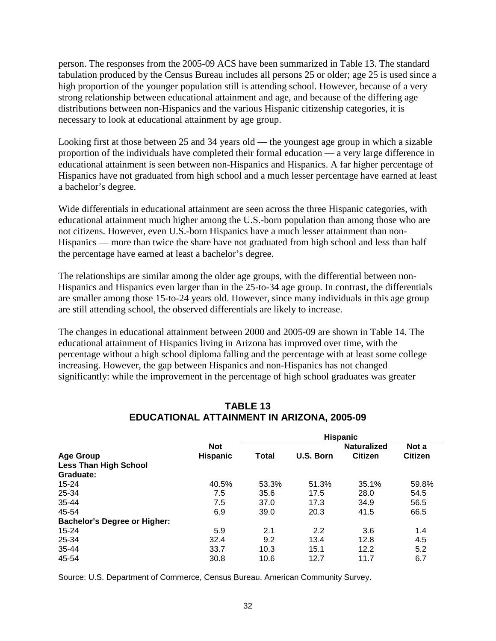person. The responses from the 2005-09 ACS have been summarized in Table 13. The standard tabulation produced by the Census Bureau includes all persons 25 or older; age 25 is used since a high proportion of the younger population still is attending school. However, because of a very strong relationship between educational attainment and age, and because of the differing age distributions between non-Hispanics and the various Hispanic citizenship categories, it is necessary to look at educational attainment by age group.

Looking first at those between 25 and 34 years old — the youngest age group in which a sizable proportion of the individuals have completed their formal education — a very large difference in educational attainment is seen between non-Hispanics and Hispanics. A far higher percentage of Hispanics have not graduated from high school and a much lesser percentage have earned at least a bachelor's degree.

Wide differentials in educational attainment are seen across the three Hispanic categories, with educational attainment much higher among the U.S.-born population than among those who are not citizens. However, even U.S.-born Hispanics have a much lesser attainment than non-Hispanics — more than twice the share have not graduated from high school and less than half the percentage have earned at least a bachelor's degree.

The relationships are similar among the older age groups, with the differential between non-Hispanics and Hispanics even larger than in the 25-to-34 age group. In contrast, the differentials are smaller among those 15-to-24 years old. However, since many individuals in this age group are still attending school, the observed differentials are likely to increase.

The changes in educational attainment between 2000 and 2005-09 are shown in Table 14. The educational attainment of Hispanics living in Arizona has improved over time, with the percentage without a high school diploma falling and the percentage with at least some college increasing. However, the gap between Hispanics and non-Hispanics has not changed significantly: while the improvement in the percentage of high school graduates was greater

|                                     |                 | <b>Hispanic</b> |           |                    |                |
|-------------------------------------|-----------------|-----------------|-----------|--------------------|----------------|
|                                     | <b>Not</b>      |                 |           | <b>Naturalized</b> | Not a          |
| <b>Age Group</b>                    | <b>Hispanic</b> | <b>Total</b>    | U.S. Born | <b>Citizen</b>     | <b>Citizen</b> |
| <b>Less Than High School</b>        |                 |                 |           |                    |                |
| Graduate:                           |                 |                 |           |                    |                |
| $15 - 24$                           | 40.5%           | 53.3%           | 51.3%     | 35.1%              | 59.8%          |
| 25-34                               | 7.5             | 35.6            | 17.5      | 28.0               | 54.5           |
| 35-44                               | 7.5             | 37.0            | 17.3      | 34.9               | 56.5           |
| 45-54                               | 6.9             | 39.0            | 20.3      | 41.5               | 66.5           |
| <b>Bachelor's Degree or Higher:</b> |                 |                 |           |                    |                |
| $15 - 24$                           | 5.9             | 2.1             | 2.2       | 3.6                | 1.4            |
| 25-34                               | 32.4            | 9.2             | 13.4      | 12.8               | 4.5            |
| 35-44                               | 33.7            | 10.3            | 15.1      | 12.2               | 5.2            |
| 45-54                               | 30.8            | 10.6            | 12.7      | 11.7               | 6.7            |

# **TABLE 13 EDUCATIONAL ATTAINMENT IN ARIZONA, 2005-09**

Source: U.S. Department of Commerce, Census Bureau, American Community Survey.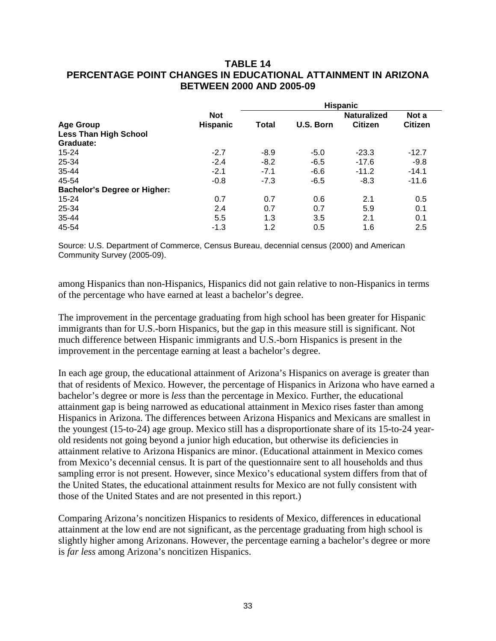### **TABLE 14 PERCENTAGE POINT CHANGES IN EDUCATIONAL ATTAINMENT IN ARIZONA BETWEEN 2000 AND 2005-09**

|                                     |                 | <b>Hispanic</b> |           |                    |                |  |
|-------------------------------------|-----------------|-----------------|-----------|--------------------|----------------|--|
|                                     | <b>Not</b>      |                 |           | <b>Naturalized</b> | Not a          |  |
| <b>Age Group</b>                    | <b>Hispanic</b> | Total           | U.S. Born | <b>Citizen</b>     | <b>Citizen</b> |  |
| <b>Less Than High School</b>        |                 |                 |           |                    |                |  |
| Graduate:                           |                 |                 |           |                    |                |  |
| $15 - 24$                           | $-2.7$          | $-8.9$          | $-5.0$    | $-23.3$            | $-12.7$        |  |
| 25-34                               | $-2.4$          | $-8.2$          | $-6.5$    | $-17.6$            | $-9.8$         |  |
| 35-44                               | $-2.1$          | $-7.1$          | $-6.6$    | $-11.2$            | $-14.1$        |  |
| 45-54                               | $-0.8$          | $-7.3$          | $-6.5$    | $-8.3$             | $-11.6$        |  |
| <b>Bachelor's Degree or Higher:</b> |                 |                 |           |                    |                |  |
| $15 - 24$                           | 0.7             | 0.7             | 0.6       | 2.1                | 0.5            |  |
| 25-34                               | 2.4             | 0.7             | 0.7       | 5.9                | 0.1            |  |
| 35-44                               | 5.5             | 1.3             | 3.5       | 2.1                | 0.1            |  |
| 45-54                               | $-1.3$          | 1.2             | 0.5       | 1.6                | 2.5            |  |

Source: U.S. Department of Commerce, Census Bureau, decennial census (2000) and American Community Survey (2005-09).

among Hispanics than non-Hispanics, Hispanics did not gain relative to non-Hispanics in terms of the percentage who have earned at least a bachelor's degree.

The improvement in the percentage graduating from high school has been greater for Hispanic immigrants than for U.S.-born Hispanics, but the gap in this measure still is significant. Not much difference between Hispanic immigrants and U.S.-born Hispanics is present in the improvement in the percentage earning at least a bachelor's degree.

In each age group, the educational attainment of Arizona's Hispanics on average is greater than that of residents of Mexico. However, the percentage of Hispanics in Arizona who have earned a bachelor's degree or more is *less* than the percentage in Mexico. Further, the educational attainment gap is being narrowed as educational attainment in Mexico rises faster than among Hispanics in Arizona. The differences between Arizona Hispanics and Mexicans are smallest in the youngest (15-to-24) age group. Mexico still has a disproportionate share of its 15-to-24 yearold residents not going beyond a junior high education, but otherwise its deficiencies in attainment relative to Arizona Hispanics are minor. (Educational attainment in Mexico comes from Mexico's decennial census. It is part of the questionnaire sent to all households and thus sampling error is not present. However, since Mexico's educational system differs from that of the United States, the educational attainment results for Mexico are not fully consistent with those of the United States and are not presented in this report.)

Comparing Arizona's noncitizen Hispanics to residents of Mexico, differences in educational attainment at the low end are not significant, as the percentage graduating from high school is slightly higher among Arizonans. However, the percentage earning a bachelor's degree or more is *far less* among Arizona's noncitizen Hispanics.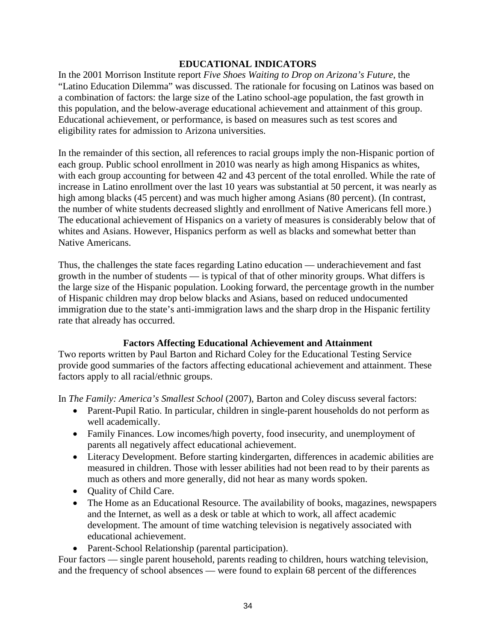### **EDUCATIONAL INDICATORS**

In the 2001 Morrison Institute report *Five Shoes Waiting to Drop on Arizona's Future*, the "Latino Education Dilemma" was discussed. The rationale for focusing on Latinos was based on a combination of factors: the large size of the Latino school-age population, the fast growth in this population, and the below-average educational achievement and attainment of this group. Educational achievement, or performance, is based on measures such as test scores and eligibility rates for admission to Arizona universities.

In the remainder of this section, all references to racial groups imply the non-Hispanic portion of each group. Public school enrollment in 2010 was nearly as high among Hispanics as whites, with each group accounting for between 42 and 43 percent of the total enrolled. While the rate of increase in Latino enrollment over the last 10 years was substantial at 50 percent, it was nearly as high among blacks (45 percent) and was much higher among Asians (80 percent). (In contrast, the number of white students decreased slightly and enrollment of Native Americans fell more.) The educational achievement of Hispanics on a variety of measures is considerably below that of whites and Asians. However, Hispanics perform as well as blacks and somewhat better than Native Americans.

Thus, the challenges the state faces regarding Latino education — underachievement and fast growth in the number of students — is typical of that of other minority groups. What differs is the large size of the Hispanic population. Looking forward, the percentage growth in the number of Hispanic children may drop below blacks and Asians, based on reduced undocumented immigration due to the state's anti-immigration laws and the sharp drop in the Hispanic fertility rate that already has occurred.

### **Factors Affecting Educational Achievement and Attainment**

Two reports written by Paul Barton and Richard Coley for the Educational Testing Service provide good summaries of the factors affecting educational achievement and attainment. These factors apply to all racial/ethnic groups.

In *The Family: America's Smallest School* (2007), Barton and Coley discuss several factors:

- Parent-Pupil Ratio. In particular, children in single-parent households do not perform as well academically.
- Family Finances. Low incomes/high poverty, food insecurity, and unemployment of parents all negatively affect educational achievement.
- Literacy Development. Before starting kindergarten, differences in academic abilities are measured in children. Those with lesser abilities had not been read to by their parents as much as others and more generally, did not hear as many words spoken.
- Quality of Child Care.
- The Home as an Educational Resource. The availability of books, magazines, newspapers and the Internet, as well as a desk or table at which to work, all affect academic development. The amount of time watching television is negatively associated with educational achievement.
- Parent-School Relationship (parental participation).

Four factors — single parent household, parents reading to children, hours watching television, and the frequency of school absences — were found to explain 68 percent of the differences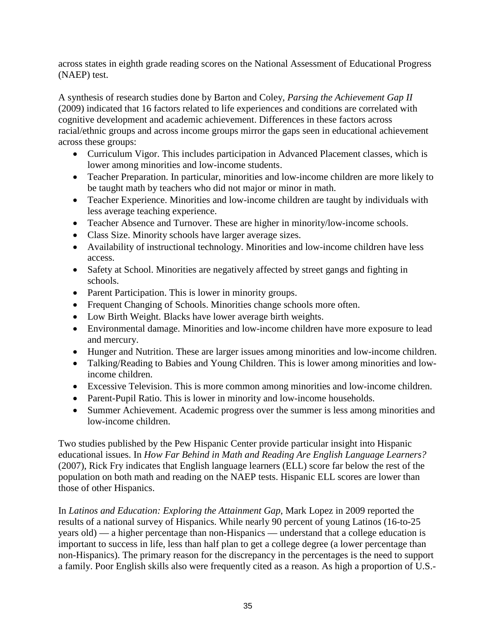across states in eighth grade reading scores on the National Assessment of Educational Progress (NAEP) test.

A synthesis of research studies done by Barton and Coley, *Parsing the Achievement Gap II* (2009) indicated that 16 factors related to life experiences and conditions are correlated with cognitive development and academic achievement. Differences in these factors across racial/ethnic groups and across income groups mirror the gaps seen in educational achievement across these groups:

- Curriculum Vigor. This includes participation in Advanced Placement classes, which is lower among minorities and low-income students.
- Teacher Preparation. In particular, minorities and low-income children are more likely to be taught math by teachers who did not major or minor in math.
- Teacher Experience. Minorities and low-income children are taught by individuals with less average teaching experience.
- Teacher Absence and Turnover. These are higher in minority/low-income schools.
- Class Size. Minority schools have larger average sizes.
- Availability of instructional technology. Minorities and low-income children have less access.
- Safety at School. Minorities are negatively affected by street gangs and fighting in schools.
- Parent Participation. This is lower in minority groups.
- Frequent Changing of Schools. Minorities change schools more often.
- Low Birth Weight. Blacks have lower average birth weights.
- Environmental damage. Minorities and low-income children have more exposure to lead and mercury.
- Hunger and Nutrition. These are larger issues among minorities and low-income children.
- Talking/Reading to Babies and Young Children. This is lower among minorities and lowincome children.
- Excessive Television. This is more common among minorities and low-income children.
- Parent-Pupil Ratio. This is lower in minority and low-income households.
- Summer Achievement. Academic progress over the summer is less among minorities and low-income children.

Two studies published by the Pew Hispanic Center provide particular insight into Hispanic educational issues. In *How Far Behind in Math and Reading Are English Language Learners?* (2007), Rick Fry indicates that English language learners (ELL) score far below the rest of the population on both math and reading on the NAEP tests. Hispanic ELL scores are lower than those of other Hispanics.

In *Latinos and Education: Exploring the Attainment Gap*, Mark Lopez in 2009 reported the results of a national survey of Hispanics. While nearly 90 percent of young Latinos (16-to-25 years old) — a higher percentage than non-Hispanics — understand that a college education is important to success in life, less than half plan to get a college degree (a lower percentage than non-Hispanics). The primary reason for the discrepancy in the percentages is the need to support a family. Poor English skills also were frequently cited as a reason. As high a proportion of U.S.-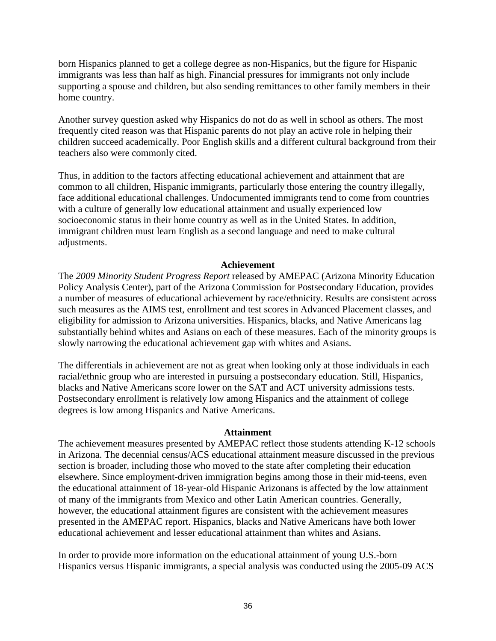born Hispanics planned to get a college degree as non-Hispanics, but the figure for Hispanic immigrants was less than half as high. Financial pressures for immigrants not only include supporting a spouse and children, but also sending remittances to other family members in their home country.

Another survey question asked why Hispanics do not do as well in school as others. The most frequently cited reason was that Hispanic parents do not play an active role in helping their children succeed academically. Poor English skills and a different cultural background from their teachers also were commonly cited.

Thus, in addition to the factors affecting educational achievement and attainment that are common to all children, Hispanic immigrants, particularly those entering the country illegally, face additional educational challenges. Undocumented immigrants tend to come from countries with a culture of generally low educational attainment and usually experienced low socioeconomic status in their home country as well as in the United States. In addition, immigrant children must learn English as a second language and need to make cultural adjustments.

### **Achievement**

The *2009 Minority Student Progress Report* released by AMEPAC (Arizona Minority Education Policy Analysis Center), part of the Arizona Commission for Postsecondary Education, provides a number of measures of educational achievement by race/ethnicity. Results are consistent across such measures as the AIMS test, enrollment and test scores in Advanced Placement classes, and eligibility for admission to Arizona universities. Hispanics, blacks, and Native Americans lag substantially behind whites and Asians on each of these measures. Each of the minority groups is slowly narrowing the educational achievement gap with whites and Asians.

The differentials in achievement are not as great when looking only at those individuals in each racial/ethnic group who are interested in pursuing a postsecondary education. Still, Hispanics, blacks and Native Americans score lower on the SAT and ACT university admissions tests. Postsecondary enrollment is relatively low among Hispanics and the attainment of college degrees is low among Hispanics and Native Americans.

#### **Attainment**

The achievement measures presented by AMEPAC reflect those students attending K-12 schools in Arizona. The decennial census/ACS educational attainment measure discussed in the previous section is broader, including those who moved to the state after completing their education elsewhere. Since employment-driven immigration begins among those in their mid-teens, even the educational attainment of 18-year-old Hispanic Arizonans is affected by the low attainment of many of the immigrants from Mexico and other Latin American countries. Generally, however, the educational attainment figures are consistent with the achievement measures presented in the AMEPAC report. Hispanics, blacks and Native Americans have both lower educational achievement and lesser educational attainment than whites and Asians.

In order to provide more information on the educational attainment of young U.S.-born Hispanics versus Hispanic immigrants, a special analysis was conducted using the 2005-09 ACS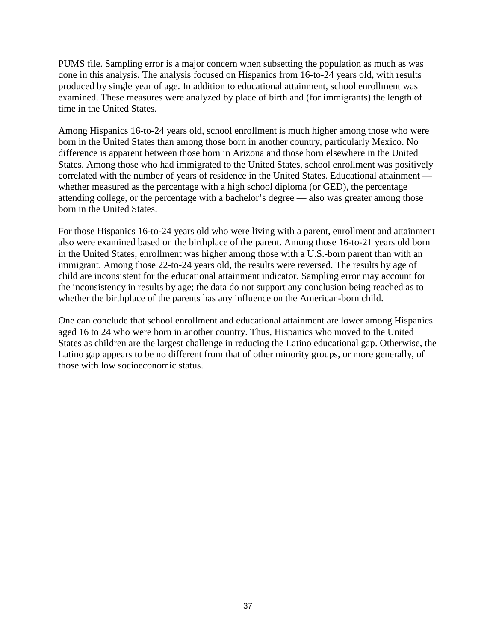PUMS file. Sampling error is a major concern when subsetting the population as much as was done in this analysis. The analysis focused on Hispanics from 16-to-24 years old, with results produced by single year of age. In addition to educational attainment, school enrollment was examined. These measures were analyzed by place of birth and (for immigrants) the length of time in the United States.

Among Hispanics 16-to-24 years old, school enrollment is much higher among those who were born in the United States than among those born in another country, particularly Mexico. No difference is apparent between those born in Arizona and those born elsewhere in the United States. Among those who had immigrated to the United States, school enrollment was positively correlated with the number of years of residence in the United States. Educational attainment whether measured as the percentage with a high school diploma (or GED), the percentage attending college, or the percentage with a bachelor's degree — also was greater among those born in the United States.

For those Hispanics 16-to-24 years old who were living with a parent, enrollment and attainment also were examined based on the birthplace of the parent. Among those 16-to-21 years old born in the United States, enrollment was higher among those with a U.S.-born parent than with an immigrant. Among those 22-to-24 years old, the results were reversed. The results by age of child are inconsistent for the educational attainment indicator. Sampling error may account for the inconsistency in results by age; the data do not support any conclusion being reached as to whether the birthplace of the parents has any influence on the American-born child.

One can conclude that school enrollment and educational attainment are lower among Hispanics aged 16 to 24 who were born in another country. Thus, Hispanics who moved to the United States as children are the largest challenge in reducing the Latino educational gap. Otherwise, the Latino gap appears to be no different from that of other minority groups, or more generally, of those with low socioeconomic status.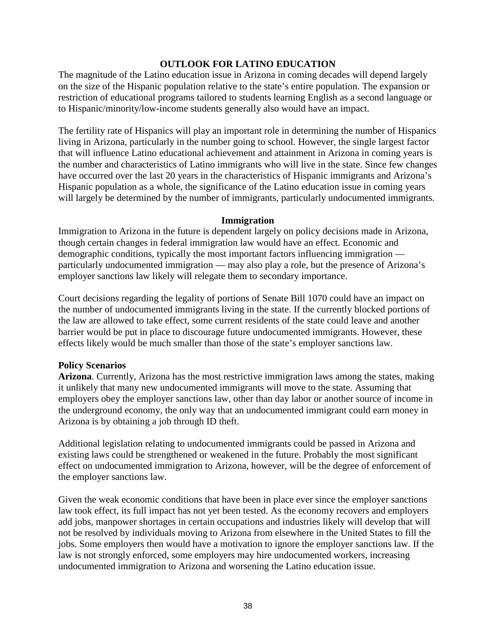### **OUTLOOK FOR LATINO EDUCATION**

The magnitude of the Latino education issue in Arizona in coming decades will depend largely on the size of the Hispanic population relative to the state's entire population. The expansion or restriction of educational programs tailored to students learning English as a second language or to Hispanic/minority/low-income students generally also would have an impact.

The fertility rate of Hispanics will play an important role in determining the number of Hispanics living in Arizona, particularly in the number going to school. However, the single largest factor that will influence Latino educational achievement and attainment in Arizona in coming years is the number and characteristics of Latino immigrants who will live in the state. Since few changes have occurred over the last 20 years in the characteristics of Hispanic immigrants and Arizona's Hispanic population as a whole, the significance of the Latino education issue in coming years will largely be determined by the number of immigrants, particularly undocumented immigrants.

#### **Immigration**

Immigration to Arizona in the future is dependent largely on policy decisions made in Arizona, though certain changes in federal immigration law would have an effect. Economic and demographic conditions, typically the most important factors influencing immigration particularly undocumented immigration — may also play a role, but the presence of Arizona's employer sanctions law likely will relegate them to secondary importance.

Court decisions regarding the legality of portions of Senate Bill 1070 could have an impact on the number of undocumented immigrants living in the state. If the currently blocked portions of the law are allowed to take effect, some current residents of the state could leave and another barrier would be put in place to discourage future undocumented immigrants. However, these effects likely would be much smaller than those of the state's employer sanctions law.

### **Policy Scenarios**

**Arizona**. Currently, Arizona has the most restrictive immigration laws among the states, making it unlikely that many new undocumented immigrants will move to the state. Assuming that employers obey the employer sanctions law, other than day labor or another source of income in the underground economy, the only way that an undocumented immigrant could earn money in Arizona is by obtaining a job through ID theft.

Additional legislation relating to undocumented immigrants could be passed in Arizona and existing laws could be strengthened or weakened in the future. Probably the most significant effect on undocumented immigration to Arizona, however, will be the degree of enforcement of the employer sanctions law.

Given the weak economic conditions that have been in place ever since the employer sanctions law took effect, its full impact has not yet been tested. As the economy recovers and employers add jobs, manpower shortages in certain occupations and industries likely will develop that will not be resolved by individuals moving to Arizona from elsewhere in the United States to fill the jobs. Some employers then would have a motivation to ignore the employer sanctions law. If the law is not strongly enforced, some employers may hire undocumented workers, increasing undocumented immigration to Arizona and worsening the Latino education issue.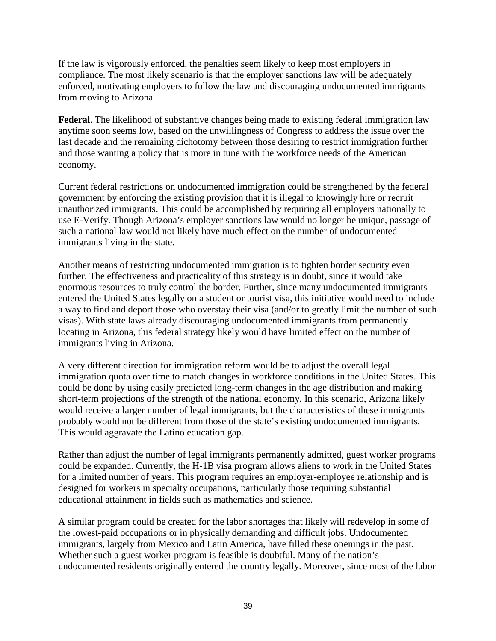If the law is vigorously enforced, the penalties seem likely to keep most employers in compliance. The most likely scenario is that the employer sanctions law will be adequately enforced, motivating employers to follow the law and discouraging undocumented immigrants from moving to Arizona.

**Federal**. The likelihood of substantive changes being made to existing federal immigration law anytime soon seems low, based on the unwillingness of Congress to address the issue over the last decade and the remaining dichotomy between those desiring to restrict immigration further and those wanting a policy that is more in tune with the workforce needs of the American economy.

Current federal restrictions on undocumented immigration could be strengthened by the federal government by enforcing the existing provision that it is illegal to knowingly hire or recruit unauthorized immigrants. This could be accomplished by requiring all employers nationally to use E-Verify. Though Arizona's employer sanctions law would no longer be unique, passage of such a national law would not likely have much effect on the number of undocumented immigrants living in the state.

Another means of restricting undocumented immigration is to tighten border security even further. The effectiveness and practicality of this strategy is in doubt, since it would take enormous resources to truly control the border. Further, since many undocumented immigrants entered the United States legally on a student or tourist visa, this initiative would need to include a way to find and deport those who overstay their visa (and/or to greatly limit the number of such visas). With state laws already discouraging undocumented immigrants from permanently locating in Arizona, this federal strategy likely would have limited effect on the number of immigrants living in Arizona.

A very different direction for immigration reform would be to adjust the overall legal immigration quota over time to match changes in workforce conditions in the United States. This could be done by using easily predicted long-term changes in the age distribution and making short-term projections of the strength of the national economy. In this scenario, Arizona likely would receive a larger number of legal immigrants, but the characteristics of these immigrants probably would not be different from those of the state's existing undocumented immigrants. This would aggravate the Latino education gap.

Rather than adjust the number of legal immigrants permanently admitted, guest worker programs could be expanded. Currently, the H-1B visa program allows aliens to work in the United States for a limited number of years. This program requires an employer-employee relationship and is designed for workers in specialty occupations, particularly those requiring substantial educational attainment in fields such as mathematics and science.

A similar program could be created for the labor shortages that likely will redevelop in some of the lowest-paid occupations or in physically demanding and difficult jobs. Undocumented immigrants, largely from Mexico and Latin America, have filled these openings in the past. Whether such a guest worker program is feasible is doubtful. Many of the nation's undocumented residents originally entered the country legally. Moreover, since most of the labor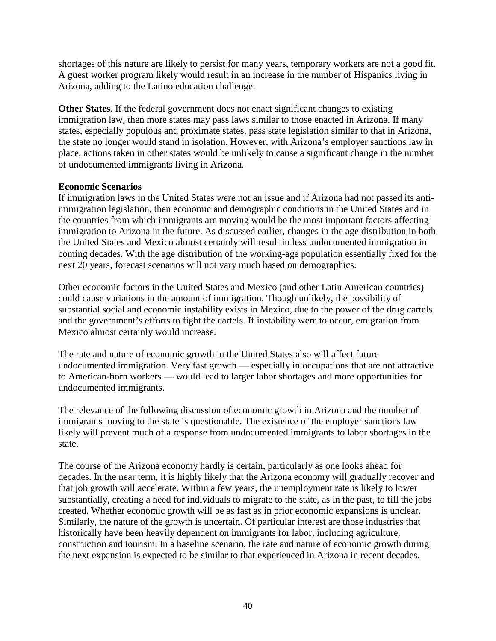shortages of this nature are likely to persist for many years, temporary workers are not a good fit. A guest worker program likely would result in an increase in the number of Hispanics living in Arizona, adding to the Latino education challenge.

**Other States**. If the federal government does not enact significant changes to existing immigration law, then more states may pass laws similar to those enacted in Arizona. If many states, especially populous and proximate states, pass state legislation similar to that in Arizona, the state no longer would stand in isolation. However, with Arizona's employer sanctions law in place, actions taken in other states would be unlikely to cause a significant change in the number of undocumented immigrants living in Arizona.

### **Economic Scenarios**

If immigration laws in the United States were not an issue and if Arizona had not passed its antiimmigration legislation, then economic and demographic conditions in the United States and in the countries from which immigrants are moving would be the most important factors affecting immigration to Arizona in the future. As discussed earlier, changes in the age distribution in both the United States and Mexico almost certainly will result in less undocumented immigration in coming decades. With the age distribution of the working-age population essentially fixed for the next 20 years, forecast scenarios will not vary much based on demographics.

Other economic factors in the United States and Mexico (and other Latin American countries) could cause variations in the amount of immigration. Though unlikely, the possibility of substantial social and economic instability exists in Mexico, due to the power of the drug cartels and the government's efforts to fight the cartels. If instability were to occur, emigration from Mexico almost certainly would increase.

The rate and nature of economic growth in the United States also will affect future undocumented immigration. Very fast growth — especially in occupations that are not attractive to American-born workers — would lead to larger labor shortages and more opportunities for undocumented immigrants.

The relevance of the following discussion of economic growth in Arizona and the number of immigrants moving to the state is questionable. The existence of the employer sanctions law likely will prevent much of a response from undocumented immigrants to labor shortages in the state.

The course of the Arizona economy hardly is certain, particularly as one looks ahead for decades. In the near term, it is highly likely that the Arizona economy will gradually recover and that job growth will accelerate. Within a few years, the unemployment rate is likely to lower substantially, creating a need for individuals to migrate to the state, as in the past, to fill the jobs created. Whether economic growth will be as fast as in prior economic expansions is unclear. Similarly, the nature of the growth is uncertain. Of particular interest are those industries that historically have been heavily dependent on immigrants for labor, including agriculture, construction and tourism. In a baseline scenario, the rate and nature of economic growth during the next expansion is expected to be similar to that experienced in Arizona in recent decades.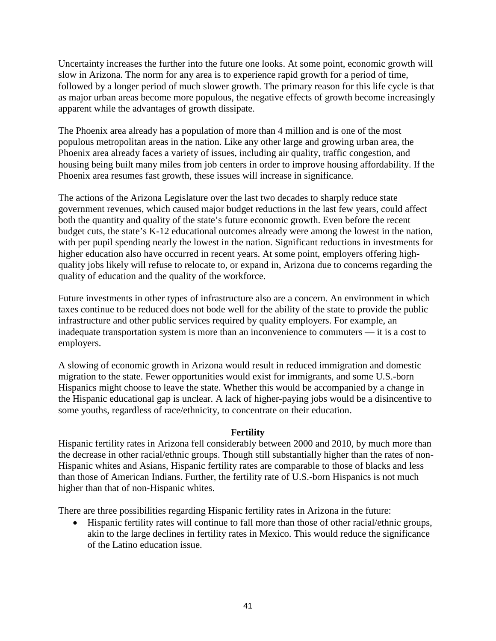Uncertainty increases the further into the future one looks. At some point, economic growth will slow in Arizona. The norm for any area is to experience rapid growth for a period of time, followed by a longer period of much slower growth. The primary reason for this life cycle is that as major urban areas become more populous, the negative effects of growth become increasingly apparent while the advantages of growth dissipate.

The Phoenix area already has a population of more than 4 million and is one of the most populous metropolitan areas in the nation. Like any other large and growing urban area, the Phoenix area already faces a variety of issues, including air quality, traffic congestion, and housing being built many miles from job centers in order to improve housing affordability. If the Phoenix area resumes fast growth, these issues will increase in significance.

The actions of the Arizona Legislature over the last two decades to sharply reduce state government revenues, which caused major budget reductions in the last few years, could affect both the quantity and quality of the state's future economic growth. Even before the recent budget cuts, the state's K-12 educational outcomes already were among the lowest in the nation, with per pupil spending nearly the lowest in the nation. Significant reductions in investments for higher education also have occurred in recent years. At some point, employers offering highquality jobs likely will refuse to relocate to, or expand in, Arizona due to concerns regarding the quality of education and the quality of the workforce.

Future investments in other types of infrastructure also are a concern. An environment in which taxes continue to be reduced does not bode well for the ability of the state to provide the public infrastructure and other public services required by quality employers. For example, an inadequate transportation system is more than an inconvenience to commuters — it is a cost to employers.

A slowing of economic growth in Arizona would result in reduced immigration and domestic migration to the state. Fewer opportunities would exist for immigrants, and some U.S.-born Hispanics might choose to leave the state. Whether this would be accompanied by a change in the Hispanic educational gap is unclear. A lack of higher-paying jobs would be a disincentive to some youths, regardless of race/ethnicity, to concentrate on their education.

### **Fertility**

Hispanic fertility rates in Arizona fell considerably between 2000 and 2010, by much more than the decrease in other racial/ethnic groups. Though still substantially higher than the rates of non-Hispanic whites and Asians, Hispanic fertility rates are comparable to those of blacks and less than those of American Indians. Further, the fertility rate of U.S.-born Hispanics is not much higher than that of non-Hispanic whites.

There are three possibilities regarding Hispanic fertility rates in Arizona in the future:

• Hispanic fertility rates will continue to fall more than those of other racial/ethnic groups, akin to the large declines in fertility rates in Mexico. This would reduce the significance of the Latino education issue.